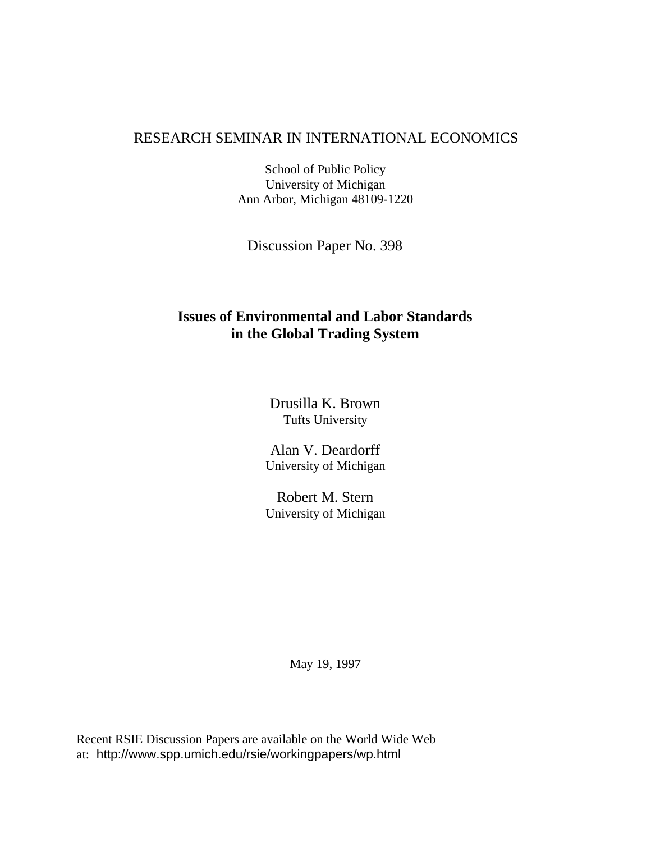# RESEARCH SEMINAR IN INTERNATIONAL ECONOMICS

School of Public Policy University of Michigan Ann Arbor, Michigan 48109-1220

Discussion Paper No. 398

# **Issues of Environmental and Labor Standards in the Global Trading System**

Drusilla K. Brown Tufts University

Alan V. Deardorff University of Michigan

Robert M. Stern University of Michigan

May 19, 1997

Recent RSIE Discussion Papers are available on the World Wide Web at: http://www.spp.umich.edu/rsie/workingpapers/wp.html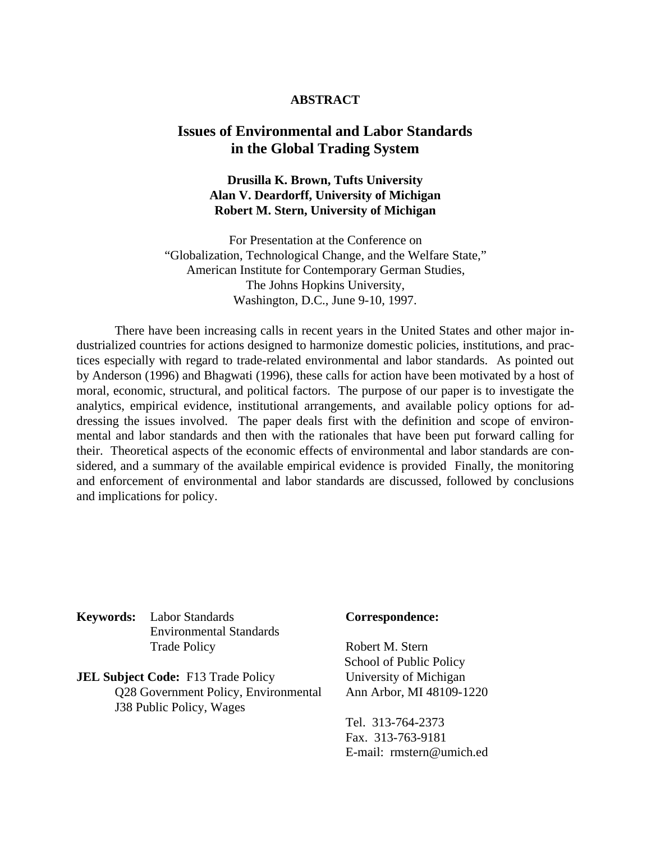# **ABSTRACT**

# **Issues of Environmental and Labor Standards in the Global Trading System**

**Drusilla K. Brown, Tufts University Alan V. Deardorff, University of Michigan Robert M. Stern, University of Michigan**

For Presentation at the Conference on "Globalization, Technological Change, and the Welfare State," American Institute for Contemporary German Studies, The Johns Hopkins University, Washington, D.C., June 9-10, 1997.

There have been increasing calls in recent years in the United States and other major industrialized countries for actions designed to harmonize domestic policies, institutions, and practices especially with regard to trade-related environmental and labor standards. As pointed out by Anderson (1996) and Bhagwati (1996), these calls for action have been motivated by a host of moral, economic, structural, and political factors. The purpose of our paper is to investigate the analytics, empirical evidence, institutional arrangements, and available policy options for addressing the issues involved. The paper deals first with the definition and scope of environmental and labor standards and then with the rationales that have been put forward calling for their. Theoretical aspects of the economic effects of environmental and labor standards are considered, and a summary of the available empirical evidence is provided Finally, the monitoring and enforcement of environmental and labor standards are discussed, followed by conclusions and implications for policy.

**Keywords:** Labor Standards **Correspondence:** Environmental Standards Trade Policy Robert M. Stern

**JEL Subject Code:** F13 Trade Policy University of Michigan Q28 Government Policy, Environmental Ann Arbor, MI 48109-1220 J38 Public Policy, Wages

School of Public Policy

Tel. 313-764-2373 Fax. 313-763-9181 E-mail: rmstern@umich.ed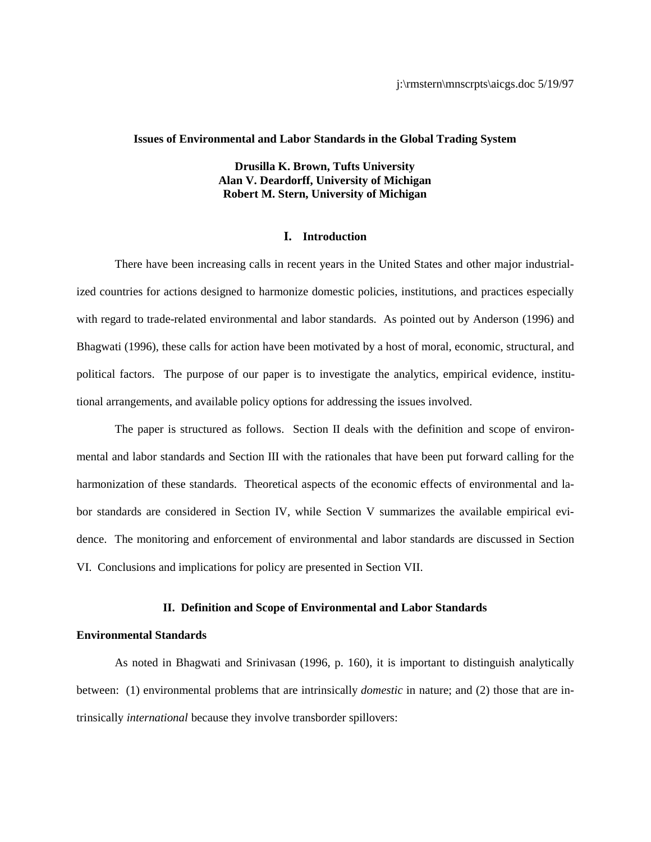#### **Issues of Environmental and Labor Standards in the Global Trading System**

# **Drusilla K. Brown, Tufts University Alan V. Deardorff, University of Michigan Robert M. Stern, University of Michigan**

# **I. Introduction**

There have been increasing calls in recent years in the United States and other major industrialized countries for actions designed to harmonize domestic policies, institutions, and practices especially with regard to trade-related environmental and labor standards. As pointed out by Anderson (1996) and Bhagwati (1996), these calls for action have been motivated by a host of moral, economic, structural, and political factors. The purpose of our paper is to investigate the analytics, empirical evidence, institutional arrangements, and available policy options for addressing the issues involved.

The paper is structured as follows. Section II deals with the definition and scope of environmental and labor standards and Section III with the rationales that have been put forward calling for the harmonization of these standards. Theoretical aspects of the economic effects of environmental and labor standards are considered in Section IV, while Section V summarizes the available empirical evidence. The monitoring and enforcement of environmental and labor standards are discussed in Section VI. Conclusions and implications for policy are presented in Section VII.

# **II. Definition and Scope of Environmental and Labor Standards**

# **Environmental Standards**

As noted in Bhagwati and Srinivasan (1996, p. 160), it is important to distinguish analytically between: (1) environmental problems that are intrinsically *domestic* in nature; and (2) those that are intrinsically *international* because they involve transborder spillovers: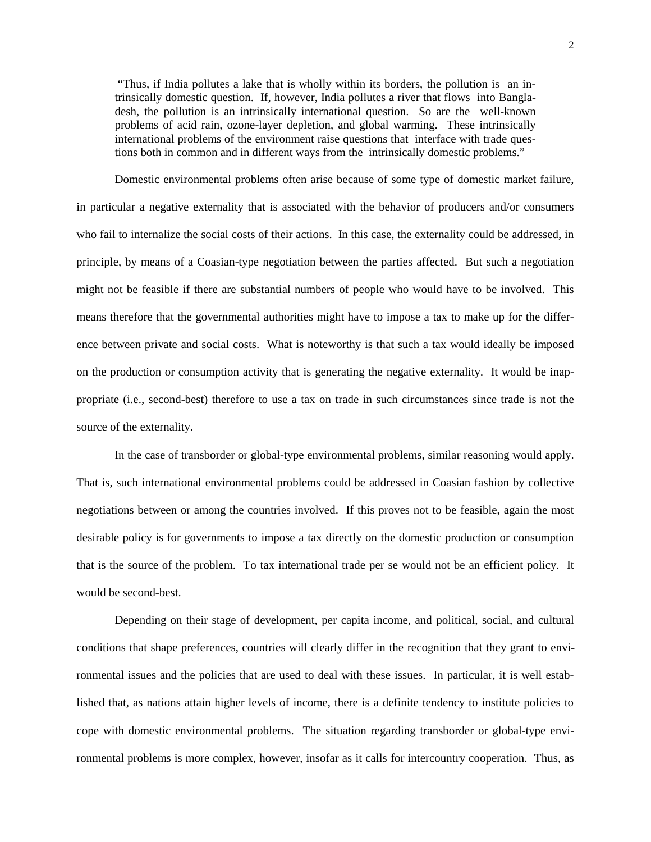"Thus, if India pollutes a lake that is wholly within its borders, the pollution is an intrinsically domestic question. If, however, India pollutes a river that flows into Bangladesh, the pollution is an intrinsically international question. So are the well-known problems of acid rain, ozone-layer depletion, and global warming. These intrinsically international problems of the environment raise questions that interface with trade questions both in common and in different ways from the intrinsically domestic problems."

Domestic environmental problems often arise because of some type of domestic market failure, in particular a negative externality that is associated with the behavior of producers and/or consumers who fail to internalize the social costs of their actions. In this case, the externality could be addressed, in principle, by means of a Coasian-type negotiation between the parties affected. But such a negotiation might not be feasible if there are substantial numbers of people who would have to be involved. This means therefore that the governmental authorities might have to impose a tax to make up for the difference between private and social costs. What is noteworthy is that such a tax would ideally be imposed on the production or consumption activity that is generating the negative externality. It would be inappropriate (i.e., second-best) therefore to use a tax on trade in such circumstances since trade is not the source of the externality.

In the case of transborder or global-type environmental problems, similar reasoning would apply. That is, such international environmental problems could be addressed in Coasian fashion by collective negotiations between or among the countries involved. If this proves not to be feasible, again the most desirable policy is for governments to impose a tax directly on the domestic production or consumption that is the source of the problem. To tax international trade per se would not be an efficient policy. It would be second-best.

Depending on their stage of development, per capita income, and political, social, and cultural conditions that shape preferences, countries will clearly differ in the recognition that they grant to environmental issues and the policies that are used to deal with these issues. In particular, it is well established that, as nations attain higher levels of income, there is a definite tendency to institute policies to cope with domestic environmental problems. The situation regarding transborder or global-type environmental problems is more complex, however, insofar as it calls for intercountry cooperation. Thus, as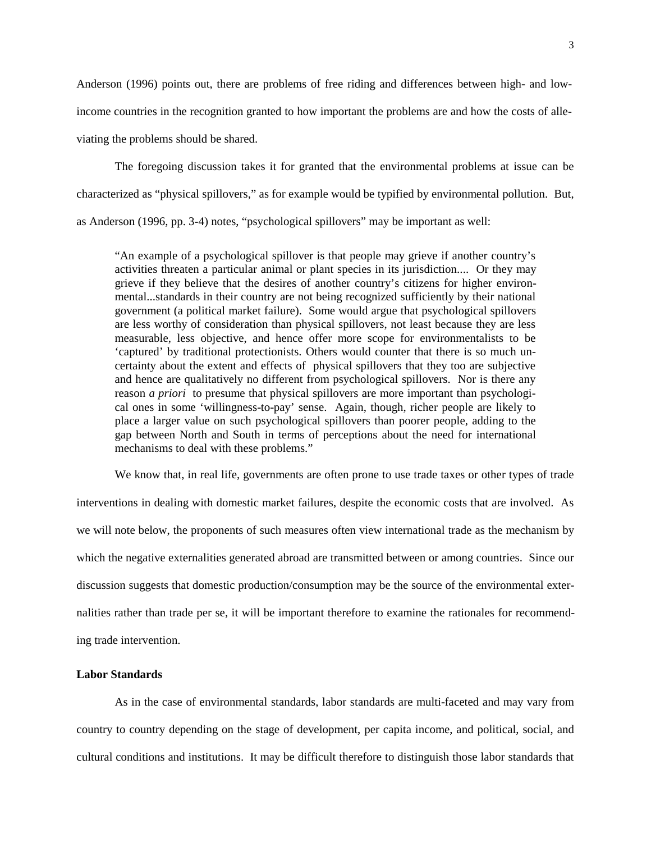Anderson (1996) points out, there are problems of free riding and differences between high- and lowincome countries in the recognition granted to how important the problems are and how the costs of alleviating the problems should be shared.

The foregoing discussion takes it for granted that the environmental problems at issue can be characterized as "physical spillovers," as for example would be typified by environmental pollution. But, as Anderson (1996, pp. 3-4) notes, "psychological spillovers" may be important as well:

"An example of a psychological spillover is that people may grieve if another country's activities threaten a particular animal or plant species in its jurisdiction.... Or they may grieve if they believe that the desires of another country's citizens for higher environmental...standards in their country are not being recognized sufficiently by their national government (a political market failure). Some would argue that psychological spillovers are less worthy of consideration than physical spillovers, not least because they are less measurable, less objective, and hence offer more scope for environmentalists to be 'captured' by traditional protectionists. Others would counter that there is so much uncertainty about the extent and effects of physical spillovers that they too are subjective and hence are qualitatively no different from psychological spillovers. Nor is there any reason *a priori* to presume that physical spillovers are more important than psychological ones in some 'willingness-to-pay' sense. Again, though, richer people are likely to place a larger value on such psychological spillovers than poorer people, adding to the gap between North and South in terms of perceptions about the need for international mechanisms to deal with these problems."

We know that, in real life, governments are often prone to use trade taxes or other types of trade

interventions in dealing with domestic market failures, despite the economic costs that are involved. As we will note below, the proponents of such measures often view international trade as the mechanism by which the negative externalities generated abroad are transmitted between or among countries. Since our discussion suggests that domestic production/consumption may be the source of the environmental externalities rather than trade per se, it will be important therefore to examine the rationales for recommending trade intervention.

# **Labor Standards**

As in the case of environmental standards, labor standards are multi-faceted and may vary from country to country depending on the stage of development, per capita income, and political, social, and cultural conditions and institutions. It may be difficult therefore to distinguish those labor standards that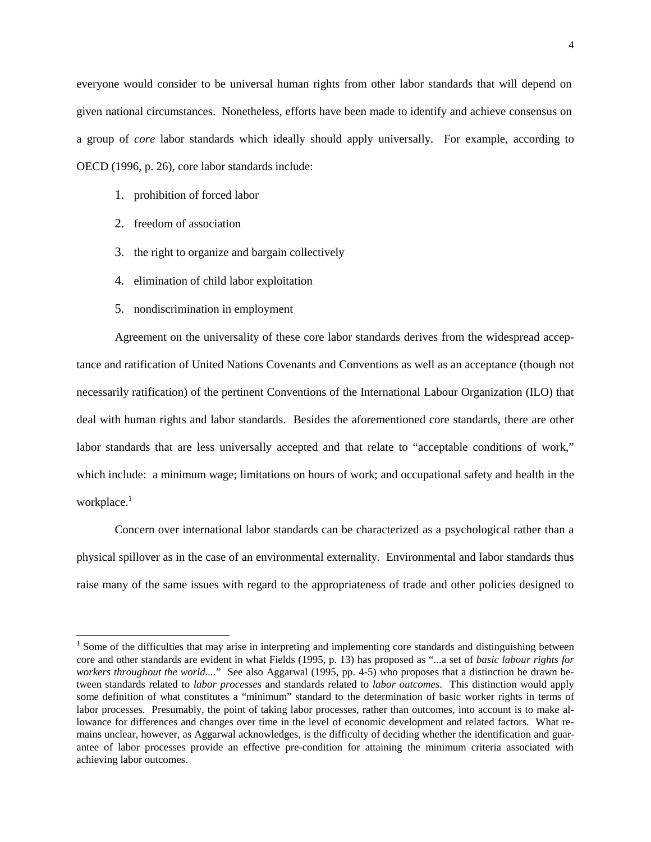everyone would consider to be universal human rights from other labor standards that will depend on given national circumstances. Nonetheless, efforts have been made to identify and achieve consensus on a group of *core* labor standards which ideally should apply universally. For example, according to OECD (1996, p. 26), core labor standards include:

- 1. prohibition of forced labor
- 2. freedom of association

 $\overline{a}$ 

- 3. the right to organize and bargain collectively
- 4. elimination of child labor exploitation
- 5. nondiscrimination in employment

Agreement on the universality of these core labor standards derives from the widespread acceptance and ratification of United Nations Covenants and Conventions as well as an acceptance (though not necessarily ratification) of the pertinent Conventions of the International Labour Organization (ILO) that deal with human rights and labor standards. Besides the aforementioned core standards, there are other labor standards that are less universally accepted and that relate to "acceptable conditions of work," which include: a minimum wage; limitations on hours of work; and occupational safety and health in the workplace.<sup>1</sup>

Concern over international labor standards can be characterized as a psychological rather than a physical spillover as in the case of an environmental externality. Environmental and labor standards thus raise many of the same issues with regard to the appropriateness of trade and other policies designed to

 $1$  Some of the difficulties that may arise in interpreting and implementing core standards and distinguishing between core and other standards are evident in what Fields (1995, p. 13) has proposed as "...a set of *basic labour rights for workers throughout the world....*" See also Aggarwal (1995, pp. 4-5) who proposes that a distinction be drawn between standards related to *labor processes* and standards related to *labor outcomes*. This distinction would apply some definition of what constitutes a "minimum" standard to the determination of basic worker rights in terms of labor processes. Presumably, the point of taking labor processes, rather than outcomes, into account is to make allowance for differences and changes over time in the level of economic development and related factors. What remains unclear, however, as Aggarwal acknowledges, is the difficulty of deciding whether the identification and guarantee of labor processes provide an effective pre-condition for attaining the minimum criteria associated with achieving labor outcomes.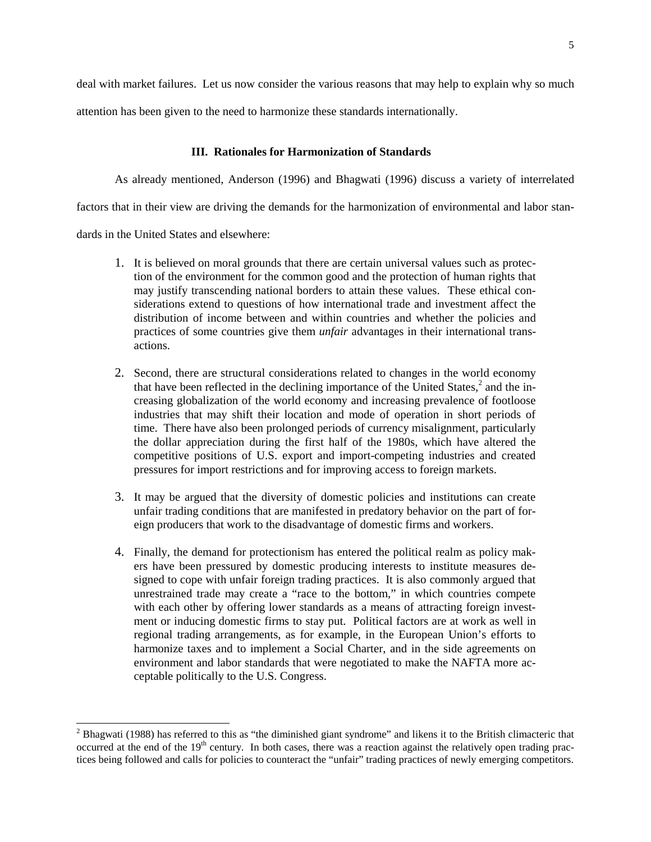deal with market failures. Let us now consider the various reasons that may help to explain why so much attention has been given to the need to harmonize these standards internationally.

# **III. Rationales for Harmonization of Standards**

As already mentioned, Anderson (1996) and Bhagwati (1996) discuss a variety of interrelated factors that in their view are driving the demands for the harmonization of environmental and labor stan-

dards in the United States and elsewhere:

- 1. It is believed on moral grounds that there are certain universal values such as protection of the environment for the common good and the protection of human rights that may justify transcending national borders to attain these values. These ethical considerations extend to questions of how international trade and investment affect the distribution of income between and within countries and whether the policies and practices of some countries give them *unfair* advantages in their international transactions.
- 2. Second, there are structural considerations related to changes in the world economy that have been reflected in the declining importance of the United States, $2$  and the increasing globalization of the world economy and increasing prevalence of footloose industries that may shift their location and mode of operation in short periods of time. There have also been prolonged periods of currency misalignment, particularly the dollar appreciation during the first half of the 1980s, which have altered the competitive positions of U.S. export and import-competing industries and created pressures for import restrictions and for improving access to foreign markets.
- 3. It may be argued that the diversity of domestic policies and institutions can create unfair trading conditions that are manifested in predatory behavior on the part of foreign producers that work to the disadvantage of domestic firms and workers.
- 4. Finally, the demand for protectionism has entered the political realm as policy makers have been pressured by domestic producing interests to institute measures designed to cope with unfair foreign trading practices. It is also commonly argued that unrestrained trade may create a "race to the bottom," in which countries compete with each other by offering lower standards as a means of attracting foreign investment or inducing domestic firms to stay put. Political factors are at work as well in regional trading arrangements, as for example, in the European Union's efforts to harmonize taxes and to implement a Social Charter, and in the side agreements on environment and labor standards that were negotiated to make the NAFTA more acceptable politically to the U.S. Congress.

 $2$  Bhagwati (1988) has referred to this as "the diminished giant syndrome" and likens it to the British climacteric that occurred at the end of the  $19<sup>th</sup>$  century. In both cases, there was a reaction against the relatively open trading practices being followed and calls for policies to counteract the "unfair" trading practices of newly emerging competitors.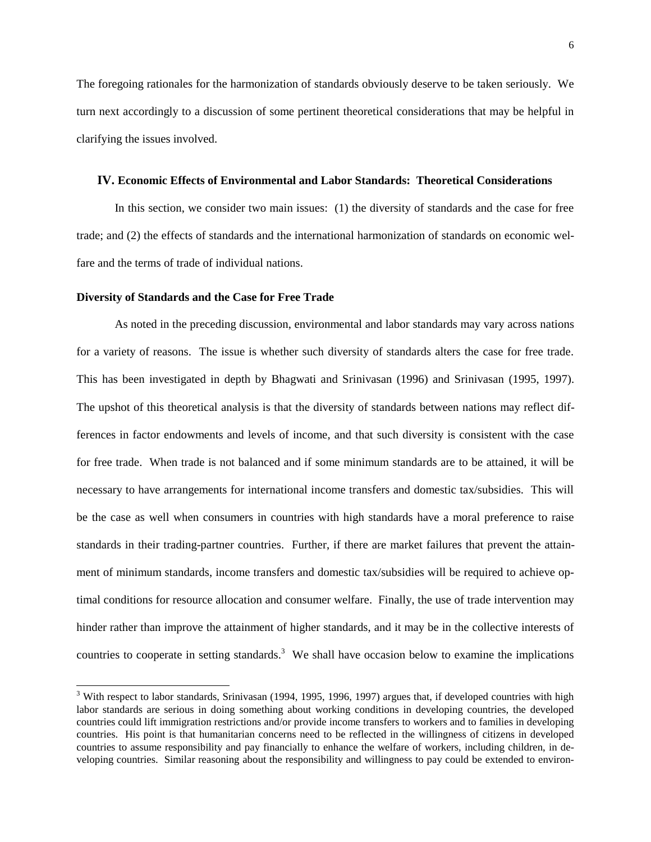The foregoing rationales for the harmonization of standards obviously deserve to be taken seriously. We turn next accordingly to a discussion of some pertinent theoretical considerations that may be helpful in clarifying the issues involved.

#### **IV. Economic Effects of Environmental and Labor Standards: Theoretical Considerations**

In this section, we consider two main issues: (1) the diversity of standards and the case for free trade; and (2) the effects of standards and the international harmonization of standards on economic welfare and the terms of trade of individual nations.

#### **Diversity of Standards and the Case for Free Trade**

 $\overline{a}$ 

As noted in the preceding discussion, environmental and labor standards may vary across nations for a variety of reasons. The issue is whether such diversity of standards alters the case for free trade. This has been investigated in depth by Bhagwati and Srinivasan (1996) and Srinivasan (1995, 1997). The upshot of this theoretical analysis is that the diversity of standards between nations may reflect differences in factor endowments and levels of income, and that such diversity is consistent with the case for free trade. When trade is not balanced and if some minimum standards are to be attained, it will be necessary to have arrangements for international income transfers and domestic tax/subsidies. This will be the case as well when consumers in countries with high standards have a moral preference to raise standards in their trading-partner countries. Further, if there are market failures that prevent the attainment of minimum standards, income transfers and domestic tax/subsidies will be required to achieve optimal conditions for resource allocation and consumer welfare. Finally, the use of trade intervention may hinder rather than improve the attainment of higher standards, and it may be in the collective interests of countries to cooperate in setting standards.<sup>3</sup> We shall have occasion below to examine the implications

 $3$  With respect to labor standards, Srinivasan (1994, 1995, 1996, 1997) argues that, if developed countries with high labor standards are serious in doing something about working conditions in developing countries, the developed countries could lift immigration restrictions and/or provide income transfers to workers and to families in developing countries. His point is that humanitarian concerns need to be reflected in the willingness of citizens in developed countries to assume responsibility and pay financially to enhance the welfare of workers, including children, in developing countries. Similar reasoning about the responsibility and willingness to pay could be extended to environ-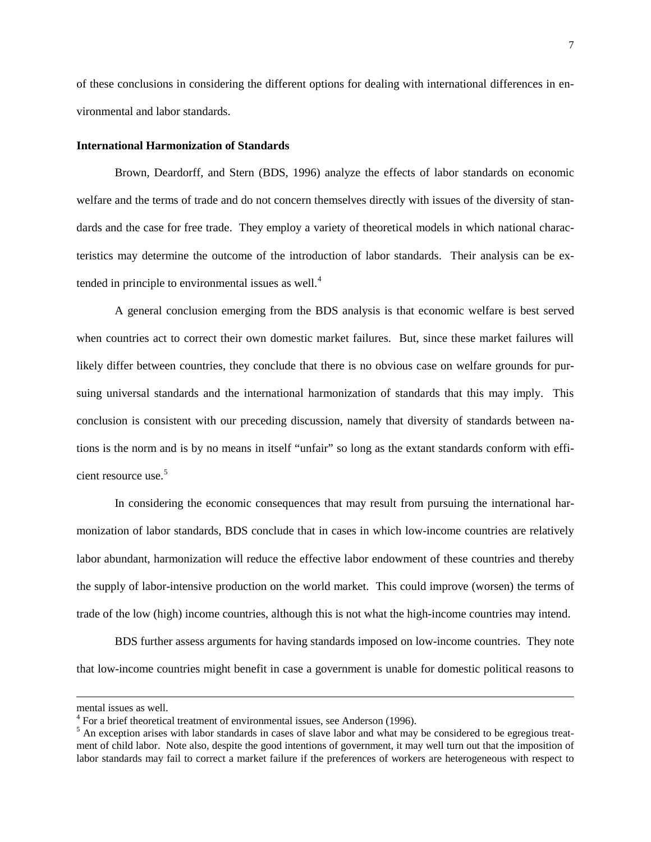of these conclusions in considering the different options for dealing with international differences in environmental and labor standards.

# **International Harmonization of Standards**

Brown, Deardorff, and Stern (BDS, 1996) analyze the effects of labor standards on economic welfare and the terms of trade and do not concern themselves directly with issues of the diversity of standards and the case for free trade. They employ a variety of theoretical models in which national characteristics may determine the outcome of the introduction of labor standards. Their analysis can be extended in principle to environmental issues as well.<sup>4</sup>

A general conclusion emerging from the BDS analysis is that economic welfare is best served when countries act to correct their own domestic market failures. But, since these market failures will likely differ between countries, they conclude that there is no obvious case on welfare grounds for pursuing universal standards and the international harmonization of standards that this may imply. This conclusion is consistent with our preceding discussion, namely that diversity of standards between nations is the norm and is by no means in itself "unfair" so long as the extant standards conform with efficient resource use.<sup>5</sup>

In considering the economic consequences that may result from pursuing the international harmonization of labor standards, BDS conclude that in cases in which low-income countries are relatively labor abundant, harmonization will reduce the effective labor endowment of these countries and thereby the supply of labor-intensive production on the world market. This could improve (worsen) the terms of trade of the low (high) income countries, although this is not what the high-income countries may intend.

BDS further assess arguments for having standards imposed on low-income countries. They note that low-income countries might benefit in case a government is unable for domestic political reasons to

mental issues as well.

<sup>&</sup>lt;sup>4</sup> For a brief theoretical treatment of environmental issues, see Anderson (1996).

<sup>&</sup>lt;sup>5</sup> An exception arises with labor standards in cases of slave labor and what may be considered to be egregious treatment of child labor. Note also, despite the good intentions of government, it may well turn out that the imposition of labor standards may fail to correct a market failure if the preferences of workers are heterogeneous with respect to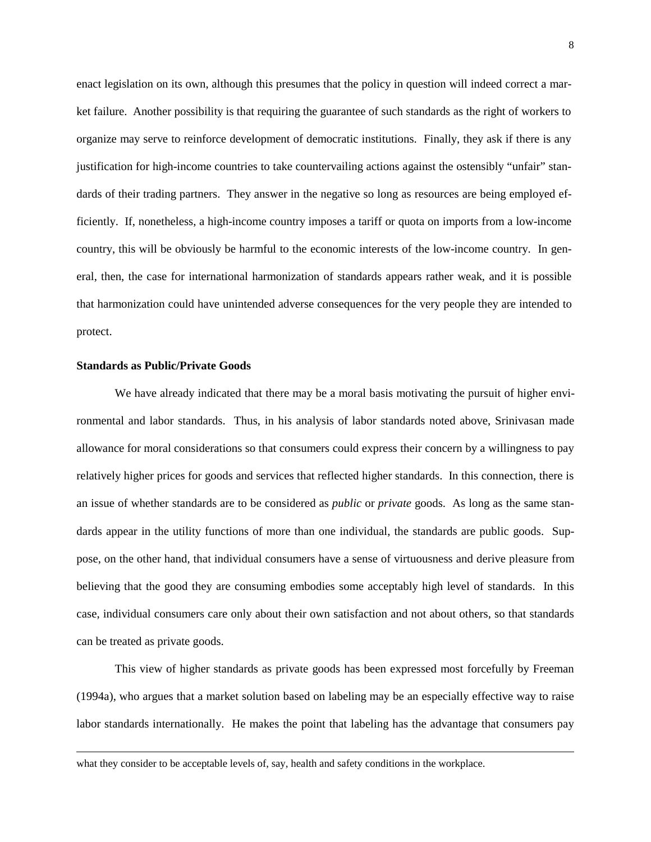enact legislation on its own, although this presumes that the policy in question will indeed correct a market failure. Another possibility is that requiring the guarantee of such standards as the right of workers to organize may serve to reinforce development of democratic institutions. Finally, they ask if there is any justification for high-income countries to take countervailing actions against the ostensibly "unfair" standards of their trading partners. They answer in the negative so long as resources are being employed efficiently. If, nonetheless, a high-income country imposes a tariff or quota on imports from a low-income country, this will be obviously be harmful to the economic interests of the low-income country. In general, then, the case for international harmonization of standards appears rather weak, and it is possible that harmonization could have unintended adverse consequences for the very people they are intended to protect.

# **Standards as Public/Private Goods**

 $\overline{a}$ 

We have already indicated that there may be a moral basis motivating the pursuit of higher environmental and labor standards. Thus, in his analysis of labor standards noted above, Srinivasan made allowance for moral considerations so that consumers could express their concern by a willingness to pay relatively higher prices for goods and services that reflected higher standards. In this connection, there is an issue of whether standards are to be considered as *public* or *private* goods. As long as the same standards appear in the utility functions of more than one individual, the standards are public goods. Suppose, on the other hand, that individual consumers have a sense of virtuousness and derive pleasure from believing that the good they are consuming embodies some acceptably high level of standards. In this case, individual consumers care only about their own satisfaction and not about others, so that standards can be treated as private goods.

This view of higher standards as private goods has been expressed most forcefully by Freeman (1994a), who argues that a market solution based on labeling may be an especially effective way to raise labor standards internationally. He makes the point that labeling has the advantage that consumers pay

what they consider to be acceptable levels of, say, health and safety conditions in the workplace.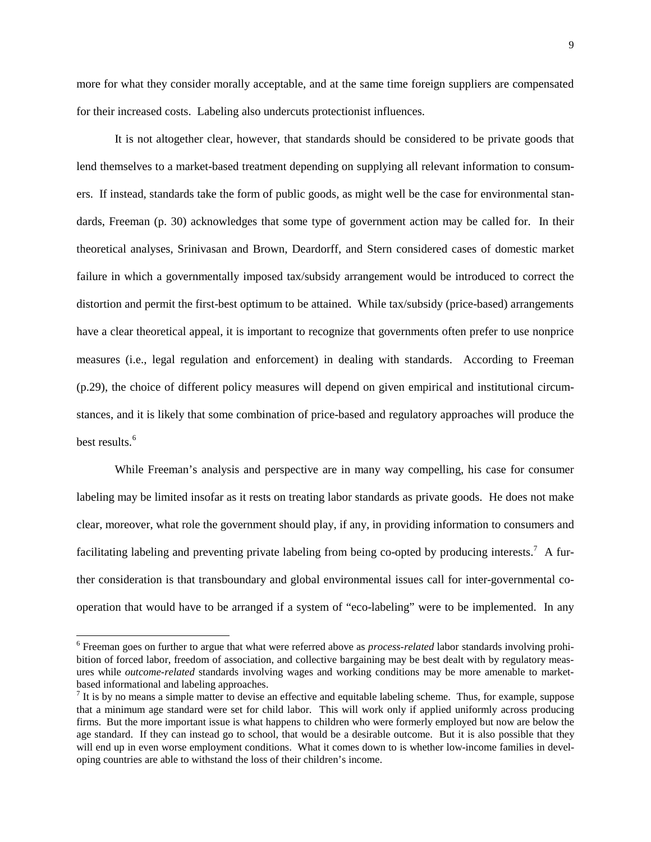more for what they consider morally acceptable, and at the same time foreign suppliers are compensated for their increased costs. Labeling also undercuts protectionist influences.

It is not altogether clear, however, that standards should be considered to be private goods that lend themselves to a market-based treatment depending on supplying all relevant information to consumers. If instead, standards take the form of public goods, as might well be the case for environmental standards, Freeman (p. 30) acknowledges that some type of government action may be called for. In their theoretical analyses, Srinivasan and Brown, Deardorff, and Stern considered cases of domestic market failure in which a governmentally imposed tax/subsidy arrangement would be introduced to correct the distortion and permit the first-best optimum to be attained. While tax/subsidy (price-based) arrangements have a clear theoretical appeal, it is important to recognize that governments often prefer to use nonprice measures (i.e., legal regulation and enforcement) in dealing with standards. According to Freeman (p.29), the choice of different policy measures will depend on given empirical and institutional circumstances, and it is likely that some combination of price-based and regulatory approaches will produce the best results.<sup>6</sup>

While Freeman's analysis and perspective are in many way compelling, his case for consumer labeling may be limited insofar as it rests on treating labor standards as private goods. He does not make clear, moreover, what role the government should play, if any, in providing information to consumers and facilitating labeling and preventing private labeling from being co-opted by producing interests.<sup>7</sup> A further consideration is that transboundary and global environmental issues call for inter-governmental cooperation that would have to be arranged if a system of "eco-labeling" were to be implemented. In any

<sup>&</sup>lt;sup>6</sup> Freeman goes on further to argue that what were referred above as *process-related* labor standards involving prohibition of forced labor, freedom of association, and collective bargaining may be best dealt with by regulatory measures while *outcome-related* standards involving wages and working conditions may be more amenable to marketbased informational and labeling approaches.

 $<sup>7</sup>$  It is by no means a simple matter to devise an effective and equitable labeling scheme. Thus, for example, suppose</sup> that a minimum age standard were set for child labor. This will work only if applied uniformly across producing firms. But the more important issue is what happens to children who were formerly employed but now are below the age standard. If they can instead go to school, that would be a desirable outcome. But it is also possible that they will end up in even worse employment conditions. What it comes down to is whether low-income families in developing countries are able to withstand the loss of their children's income.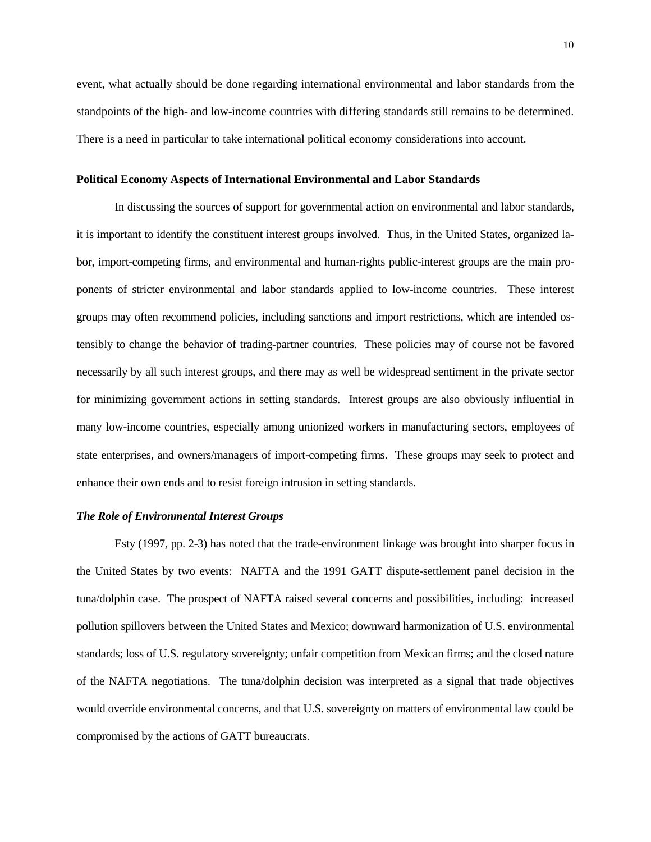event, what actually should be done regarding international environmental and labor standards from the standpoints of the high- and low-income countries with differing standards still remains to be determined. There is a need in particular to take international political economy considerations into account.

#### **Political Economy Aspects of International Environmental and Labor Standards**

In discussing the sources of support for governmental action on environmental and labor standards, it is important to identify the constituent interest groups involved. Thus, in the United States, organized labor, import-competing firms, and environmental and human-rights public-interest groups are the main proponents of stricter environmental and labor standards applied to low-income countries. These interest groups may often recommend policies, including sanctions and import restrictions, which are intended ostensibly to change the behavior of trading-partner countries. These policies may of course not be favored necessarily by all such interest groups, and there may as well be widespread sentiment in the private sector for minimizing government actions in setting standards. Interest groups are also obviously influential in many low-income countries, especially among unionized workers in manufacturing sectors, employees of state enterprises, and owners/managers of import-competing firms. These groups may seek to protect and enhance their own ends and to resist foreign intrusion in setting standards.

#### *The Role of Environmental Interest Groups*

Esty (1997, pp. 2-3) has noted that the trade-environment linkage was brought into sharper focus in the United States by two events: NAFTA and the 1991 GATT dispute-settlement panel decision in the tuna/dolphin case. The prospect of NAFTA raised several concerns and possibilities, including: increased pollution spillovers between the United States and Mexico; downward harmonization of U.S. environmental standards; loss of U.S. regulatory sovereignty; unfair competition from Mexican firms; and the closed nature of the NAFTA negotiations. The tuna/dolphin decision was interpreted as a signal that trade objectives would override environmental concerns, and that U.S. sovereignty on matters of environmental law could be compromised by the actions of GATT bureaucrats.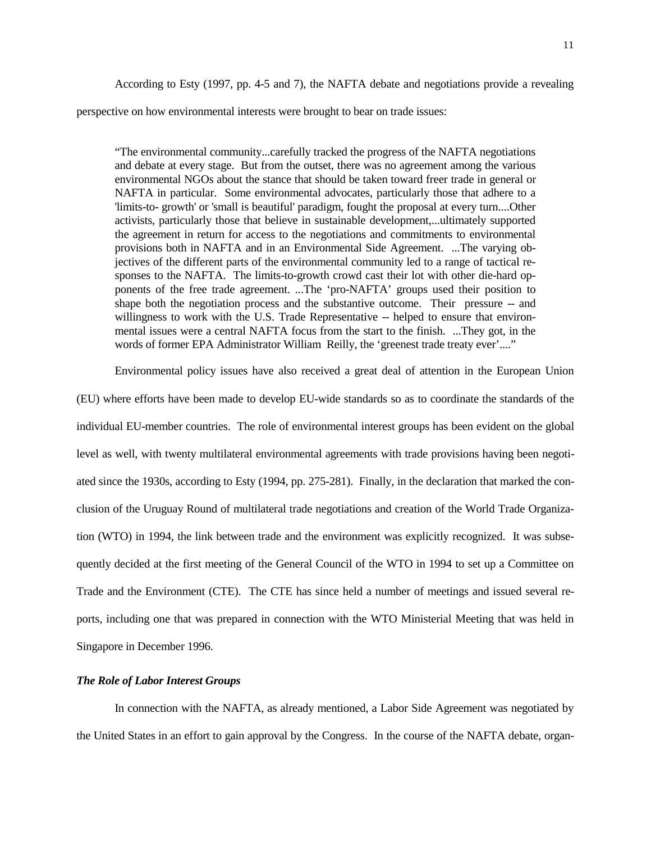According to Esty (1997, pp. 4-5 and 7), the NAFTA debate and negotiations provide a revealing perspective on how environmental interests were brought to bear on trade issues:

"The environmental community...carefully tracked the progress of the NAFTA negotiations and debate at every stage. But from the outset, there was no agreement among the various environmental NGOs about the stance that should be taken toward freer trade in general or NAFTA in particular. Some environmental advocates, particularly those that adhere to a 'limits-to- growth' or 'small is beautiful' paradigm, fought the proposal at every turn....Other activists, particularly those that believe in sustainable development,...ultimately supported the agreement in return for access to the negotiations and commitments to environmental provisions both in NAFTA and in an Environmental Side Agreement. ...The varying objectives of the different parts of the environmental community led to a range of tactical responses to the NAFTA. The limits-to-growth crowd cast their lot with other die-hard opponents of the free trade agreement. ...The 'pro-NAFTA' groups used their position to shape both the negotiation process and the substantive outcome. Their pressure -- and willingness to work with the U.S. Trade Representative -- helped to ensure that environmental issues were a central NAFTA focus from the start to the finish. ...They got, in the words of former EPA Administrator William Reilly, the 'greenest trade treaty ever'...."

Environmental policy issues have also received a great deal of attention in the European Union

(EU) where efforts have been made to develop EU-wide standards so as to coordinate the standards of the individual EU-member countries. The role of environmental interest groups has been evident on the global level as well, with twenty multilateral environmental agreements with trade provisions having been negotiated since the 1930s, according to Esty (1994, pp. 275-281). Finally, in the declaration that marked the conclusion of the Uruguay Round of multilateral trade negotiations and creation of the World Trade Organization (WTO) in 1994, the link between trade and the environment was explicitly recognized. It was subsequently decided at the first meeting of the General Council of the WTO in 1994 to set up a Committee on Trade and the Environment (CTE). The CTE has since held a number of meetings and issued several reports, including one that was prepared in connection with the WTO Ministerial Meeting that was held in Singapore in December 1996.

# *The Role of Labor Interest Groups*

In connection with the NAFTA, as already mentioned, a Labor Side Agreement was negotiated by the United States in an effort to gain approval by the Congress. In the course of the NAFTA debate, organ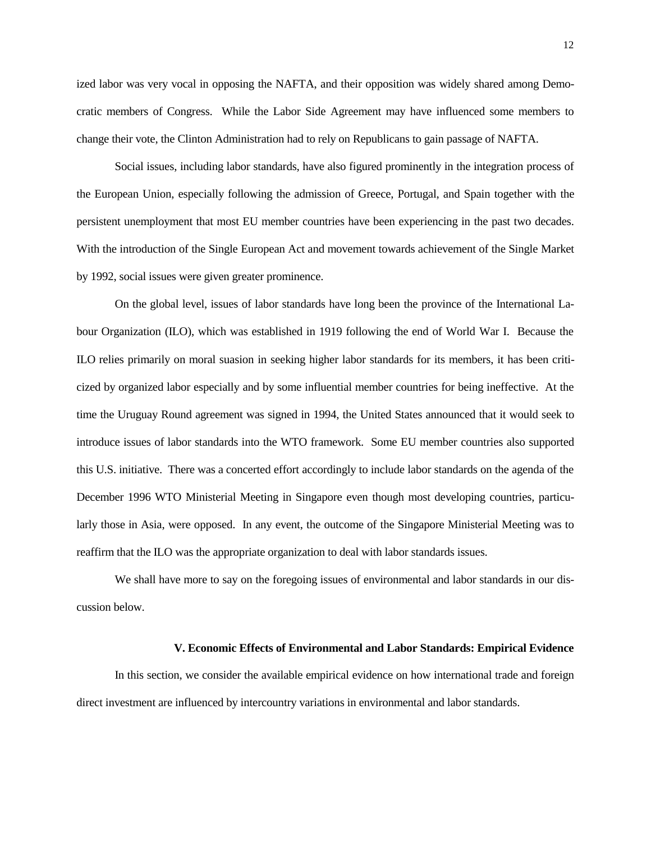ized labor was very vocal in opposing the NAFTA, and their opposition was widely shared among Democratic members of Congress. While the Labor Side Agreement may have influenced some members to change their vote, the Clinton Administration had to rely on Republicans to gain passage of NAFTA.

Social issues, including labor standards, have also figured prominently in the integration process of the European Union, especially following the admission of Greece, Portugal, and Spain together with the persistent unemployment that most EU member countries have been experiencing in the past two decades. With the introduction of the Single European Act and movement towards achievement of the Single Market by 1992, social issues were given greater prominence.

On the global level, issues of labor standards have long been the province of the International Labour Organization (ILO), which was established in 1919 following the end of World War I. Because the ILO relies primarily on moral suasion in seeking higher labor standards for its members, it has been criticized by organized labor especially and by some influential member countries for being ineffective. At the time the Uruguay Round agreement was signed in 1994, the United States announced that it would seek to introduce issues of labor standards into the WTO framework. Some EU member countries also supported this U.S. initiative. There was a concerted effort accordingly to include labor standards on the agenda of the December 1996 WTO Ministerial Meeting in Singapore even though most developing countries, particularly those in Asia, were opposed. In any event, the outcome of the Singapore Ministerial Meeting was to reaffirm that the ILO was the appropriate organization to deal with labor standards issues.

We shall have more to say on the foregoing issues of environmental and labor standards in our discussion below.

#### **V. Economic Effects of Environmental and Labor Standards: Empirical Evidence**

In this section, we consider the available empirical evidence on how international trade and foreign direct investment are influenced by intercountry variations in environmental and labor standards.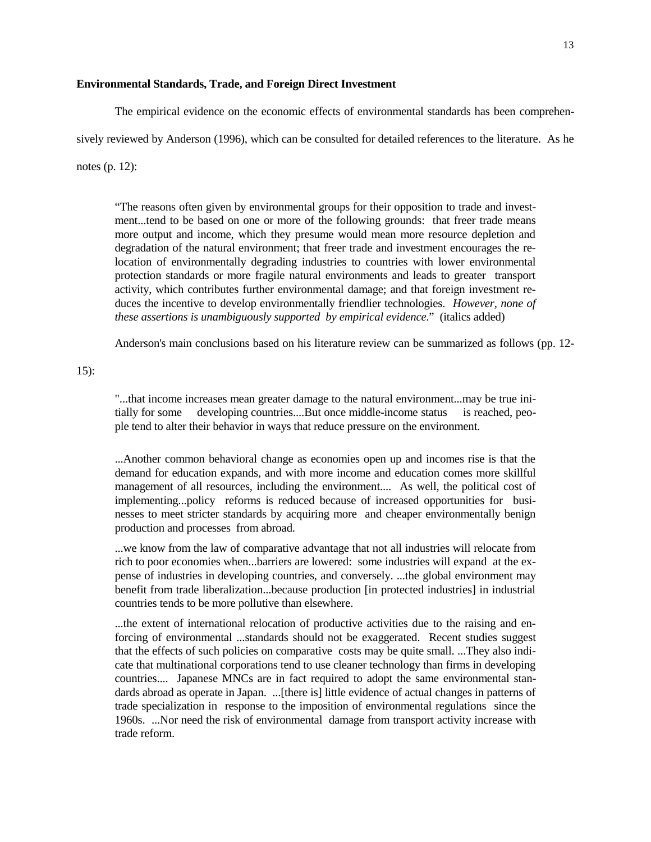## **Environmental Standards, Trade, and Foreign Direct Investment**

The empirical evidence on the economic effects of environmental standards has been comprehensively reviewed by Anderson (1996), which can be consulted for detailed references to the literature. As he notes (p. 12):

"The reasons often given by environmental groups for their opposition to trade and investment...tend to be based on one or more of the following grounds: that freer trade means more output and income, which they presume would mean more resource depletion and degradation of the natural environment; that freer trade and investment encourages the relocation of environmentally degrading industries to countries with lower environmental protection standards or more fragile natural environments and leads to greater transport activity, which contributes further environmental damage; and that foreign investment reduces the incentive to develop environmentally friendlier technologies. *However, none of these assertions is unambiguously supported by empirical evidence*." (italics added)

Anderson's main conclusions based on his literature review can be summarized as follows (pp. 12-

15):

"...that income increases mean greater damage to the natural environment...may be true initially for some developing countries....But once middle-income status is reached, people tend to alter their behavior in ways that reduce pressure on the environment.

...Another common behavioral change as economies open up and incomes rise is that the demand for education expands, and with more income and education comes more skillful management of all resources, including the environment.... As well, the political cost of implementing...policy reforms is reduced because of increased opportunities for businesses to meet stricter standards by acquiring more and cheaper environmentally benign production and processes from abroad.

...we know from the law of comparative advantage that not all industries will relocate from rich to poor economies when...barriers are lowered: some industries will expand at the expense of industries in developing countries, and conversely. ...the global environment may benefit from trade liberalization...because production [in protected industries] in industrial countries tends to be more pollutive than elsewhere.

...the extent of international relocation of productive activities due to the raising and enforcing of environmental ...standards should not be exaggerated. Recent studies suggest that the effects of such policies on comparative costs may be quite small. ...They also indicate that multinational corporations tend to use cleaner technology than firms in developing countries.... Japanese MNCs are in fact required to adopt the same environmental standards abroad as operate in Japan. ...[there is] little evidence of actual changes in patterns of trade specialization in response to the imposition of environmental regulations since the 1960s. ...Nor need the risk of environmental damage from transport activity increase with trade reform.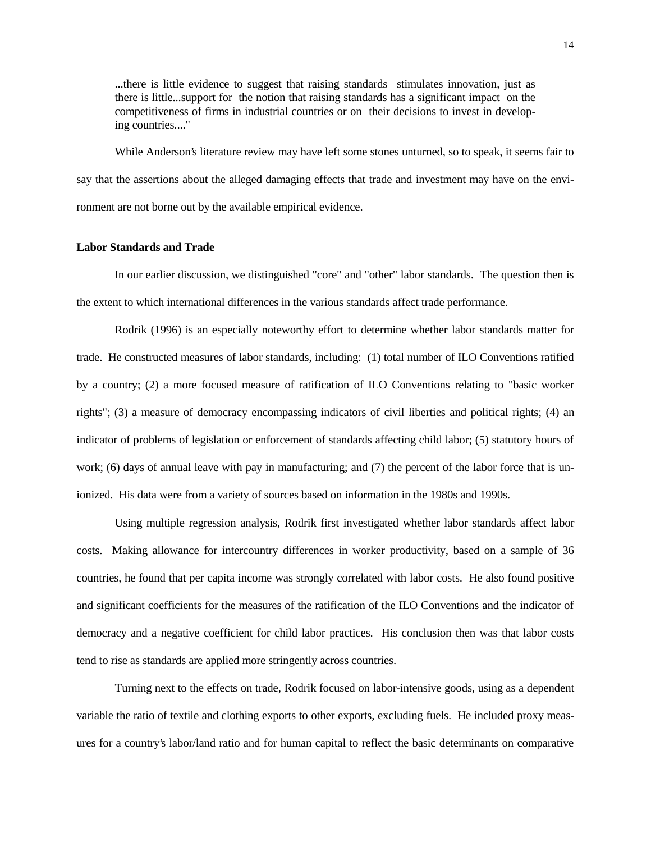...there is little evidence to suggest that raising standards stimulates innovation, just as there is little...support for the notion that raising standards has a significant impact on the competitiveness of firms in industrial countries or on their decisions to invest in developing countries...."

While Anderson's literature review may have left some stones unturned, so to speak, it seems fair to say that the assertions about the alleged damaging effects that trade and investment may have on the environment are not borne out by the available empirical evidence.

## **Labor Standards and Trade**

In our earlier discussion, we distinguished "core" and "other" labor standards. The question then is the extent to which international differences in the various standards affect trade performance.

Rodrik (1996) is an especially noteworthy effort to determine whether labor standards matter for trade. He constructed measures of labor standards, including: (1) total number of ILO Conventions ratified by a country; (2) a more focused measure of ratification of ILO Conventions relating to "basic worker rights"; (3) a measure of democracy encompassing indicators of civil liberties and political rights; (4) an indicator of problems of legislation or enforcement of standards affecting child labor; (5) statutory hours of work; (6) days of annual leave with pay in manufacturing; and (7) the percent of the labor force that is unionized. His data were from a variety of sources based on information in the 1980s and 1990s.

Using multiple regression analysis, Rodrik first investigated whether labor standards affect labor costs. Making allowance for intercountry differences in worker productivity, based on a sample of 36 countries, he found that per capita income was strongly correlated with labor costs. He also found positive and significant coefficients for the measures of the ratification of the ILO Conventions and the indicator of democracy and a negative coefficient for child labor practices. His conclusion then was that labor costs tend to rise as standards are applied more stringently across countries.

Turning next to the effects on trade, Rodrik focused on labor-intensive goods, using as a dependent variable the ratio of textile and clothing exports to other exports, excluding fuels. He included proxy measures for a country's labor/land ratio and for human capital to reflect the basic determinants on comparative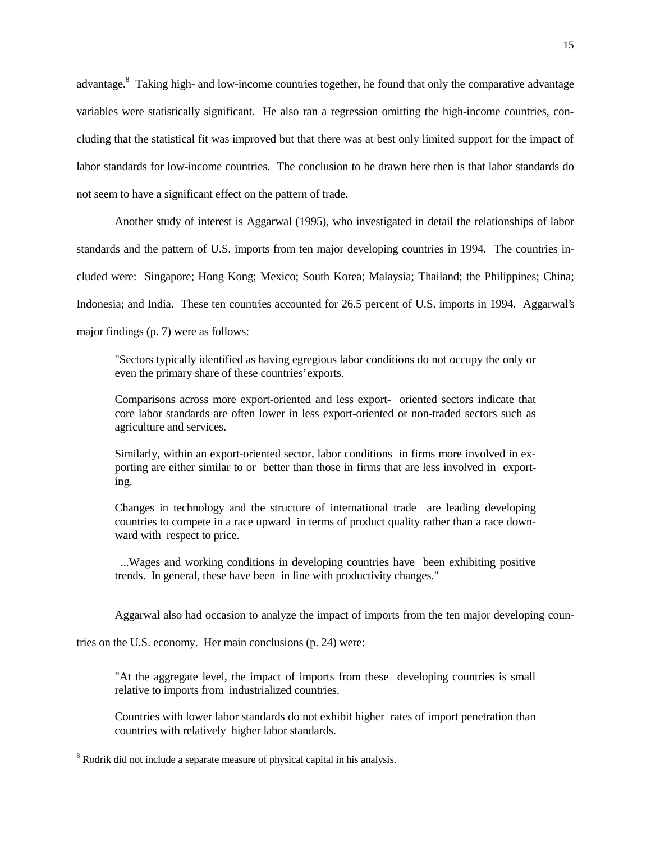advantage.<sup>8</sup> Taking high- and low-income countries together, he found that only the comparative advantage variables were statistically significant. He also ran a regression omitting the high-income countries, concluding that the statistical fit was improved but that there was at best only limited support for the impact of labor standards for low-income countries. The conclusion to be drawn here then is that labor standards do not seem to have a significant effect on the pattern of trade.

Another study of interest is Aggarwal (1995), who investigated in detail the relationships of labor standards and the pattern of U.S. imports from ten major developing countries in 1994. The countries included were: Singapore; Hong Kong; Mexico; South Korea; Malaysia; Thailand; the Philippines; China; Indonesia; and India. These ten countries accounted for 26.5 percent of U.S. imports in 1994. Aggarwal's major findings (p. 7) were as follows:

"Sectors typically identified as having egregious labor conditions do not occupy the only or even the primary share of these countries' exports.

Comparisons across more export-oriented and less export- oriented sectors indicate that core labor standards are often lower in less export-oriented or non-traded sectors such as agriculture and services.

Similarly, within an export-oriented sector, labor conditions in firms more involved in exporting are either similar to or better than those in firms that are less involved in exporting.

Changes in technology and the structure of international trade are leading developing countries to compete in a race upward in terms of product quality rather than a race downward with respect to price.

 ...Wages and working conditions in developing countries have been exhibiting positive trends. In general, these have been in line with productivity changes."

Aggarwal also had occasion to analyze the impact of imports from the ten major developing coun-

tries on the U.S. economy. Her main conclusions (p. 24) were:

"At the aggregate level, the impact of imports from these developing countries is small relative to imports from industrialized countries.

Countries with lower labor standards do not exhibit higher rates of import penetration than countries with relatively higher labor standards.

<sup>&</sup>lt;sup>8</sup> Rodrik did not include a separate measure of physical capital in his analysis.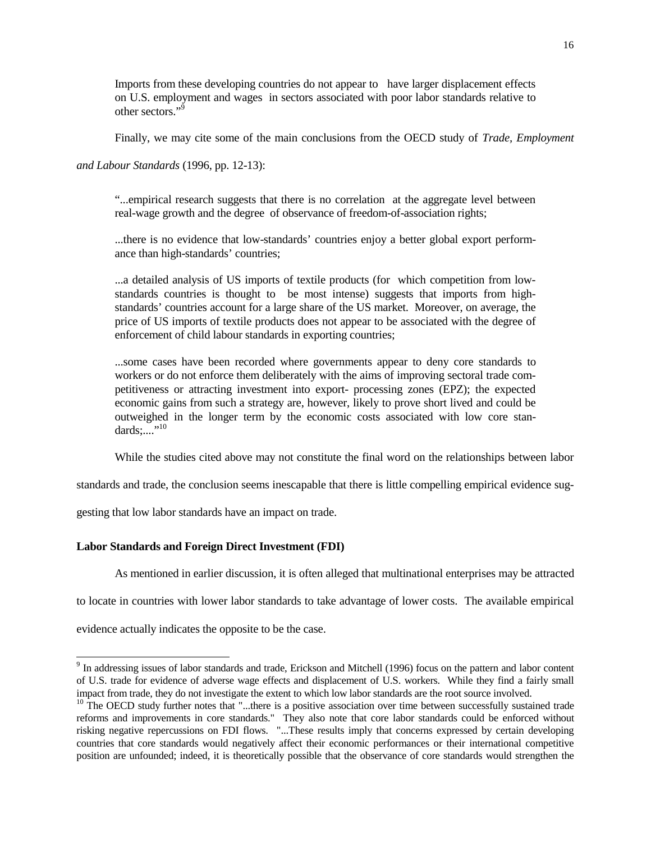Imports from these developing countries do not appear to have larger displacement effects on U.S. employment and wages in sectors associated with poor labor standards relative to other sectors $"$ <sup>9</sup>

Finally, we may cite some of the main conclusions from the OECD study of *Trade, Employment*

*and Labour Standards* (1996, pp. 12-13):

"...empirical research suggests that there is no correlation at the aggregate level between real-wage growth and the degree of observance of freedom-of-association rights;

...there is no evidence that low-standards' countries enjoy a better global export performance than high-standards' countries;

...a detailed analysis of US imports of textile products (for which competition from lowstandards countries is thought to be most intense) suggests that imports from highstandards' countries account for a large share of the US market. Moreover, on average, the price of US imports of textile products does not appear to be associated with the degree of enforcement of child labour standards in exporting countries;

...some cases have been recorded where governments appear to deny core standards to workers or do not enforce them deliberately with the aims of improving sectoral trade competitiveness or attracting investment into export- processing zones (EPZ); the expected economic gains from such a strategy are, however, likely to prove short lived and could be outweighed in the longer term by the economic costs associated with low core standards; $\dots$ ...<sup>10</sup>

While the studies cited above may not constitute the final word on the relationships between labor

standards and trade, the conclusion seems inescapable that there is little compelling empirical evidence sug-

gesting that low labor standards have an impact on trade.

# **Labor Standards and Foreign Direct Investment (FDI)**

As mentioned in earlier discussion, it is often alleged that multinational enterprises may be attracted

to locate in countries with lower labor standards to take advantage of lower costs. The available empirical

evidence actually indicates the opposite to be the case.

<sup>&</sup>lt;sup>9</sup> In addressing issues of labor standards and trade, Erickson and Mitchell (1996) focus on the pattern and labor content of U.S. trade for evidence of adverse wage effects and displacement of U.S. workers. While they find a fairly small impact from trade, they do not investigate the extent to which low labor standards are the root source involved.

 $10$  The OECD study further notes that "...there is a positive association over time between successfully sustained trade reforms and improvements in core standards." They also note that core labor standards could be enforced without risking negative repercussions on FDI flows. "...These results imply that concerns expressed by certain developing countries that core standards would negatively affect their economic performances or their international competitive position are unfounded; indeed, it is theoretically possible that the observance of core standards would strengthen the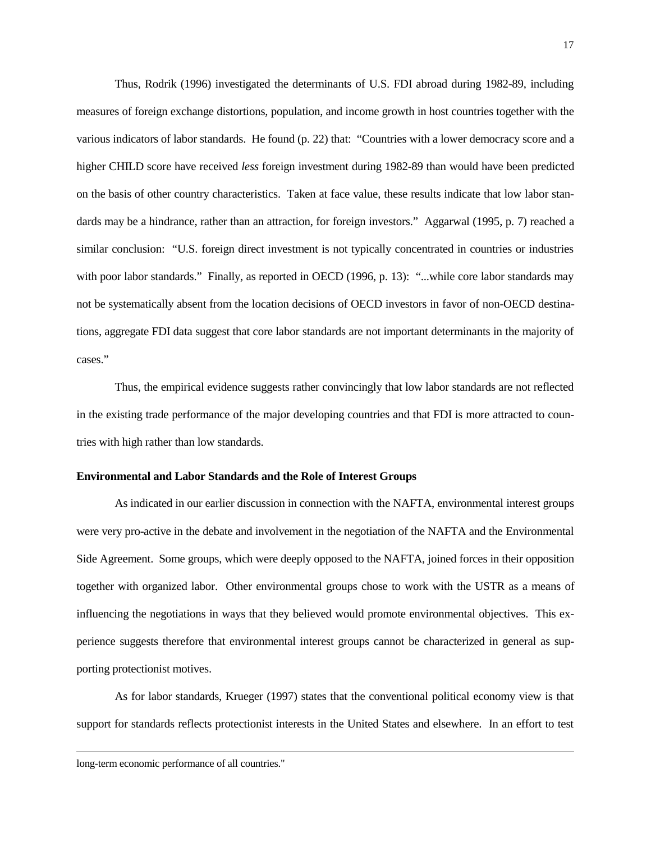Thus, Rodrik (1996) investigated the determinants of U.S. FDI abroad during 1982-89, including measures of foreign exchange distortions, population, and income growth in host countries together with the various indicators of labor standards. He found (p. 22) that: "Countries with a lower democracy score and a higher CHILD score have received *less* foreign investment during 1982-89 than would have been predicted on the basis of other country characteristics. Taken at face value, these results indicate that low labor standards may be a hindrance, rather than an attraction, for foreign investors." Aggarwal (1995, p. 7) reached a similar conclusion: "U.S. foreign direct investment is not typically concentrated in countries or industries with poor labor standards." Finally, as reported in OECD (1996, p. 13): "...while core labor standards may not be systematically absent from the location decisions of OECD investors in favor of non-OECD destinations, aggregate FDI data suggest that core labor standards are not important determinants in the majority of cases."

Thus, the empirical evidence suggests rather convincingly that low labor standards are not reflected in the existing trade performance of the major developing countries and that FDI is more attracted to countries with high rather than low standards.

# **Environmental and Labor Standards and the Role of Interest Groups**

As indicated in our earlier discussion in connection with the NAFTA, environmental interest groups were very pro-active in the debate and involvement in the negotiation of the NAFTA and the Environmental Side Agreement. Some groups, which were deeply opposed to the NAFTA, joined forces in their opposition together with organized labor. Other environmental groups chose to work with the USTR as a means of influencing the negotiations in ways that they believed would promote environmental objectives. This experience suggests therefore that environmental interest groups cannot be characterized in general as supporting protectionist motives.

As for labor standards, Krueger (1997) states that the conventional political economy view is that support for standards reflects protectionist interests in the United States and elsewhere. In an effort to test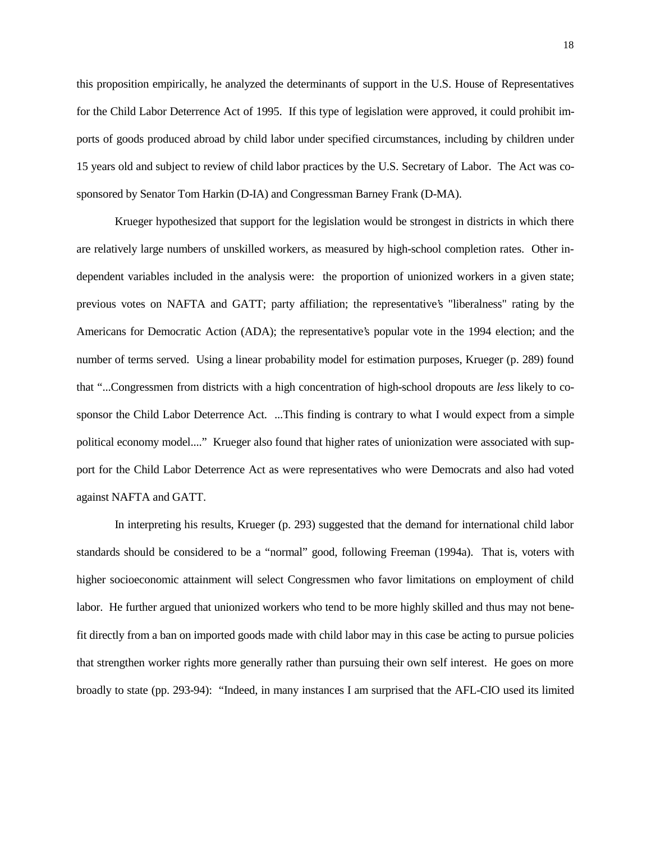this proposition empirically, he analyzed the determinants of support in the U.S. House of Representatives for the Child Labor Deterrence Act of 1995. If this type of legislation were approved, it could prohibit imports of goods produced abroad by child labor under specified circumstances, including by children under 15 years old and subject to review of child labor practices by the U.S. Secretary of Labor. The Act was cosponsored by Senator Tom Harkin (D-IA) and Congressman Barney Frank (D-MA).

Krueger hypothesized that support for the legislation would be strongest in districts in which there are relatively large numbers of unskilled workers, as measured by high-school completion rates. Other independent variables included in the analysis were: the proportion of unionized workers in a given state; previous votes on NAFTA and GATT; party affiliation; the representative's "liberalness" rating by the Americans for Democratic Action (ADA); the representative's popular vote in the 1994 election; and the number of terms served. Using a linear probability model for estimation purposes, Krueger (p. 289) found that "...Congressmen from districts with a high concentration of high-school dropouts are *less* likely to cosponsor the Child Labor Deterrence Act. ...This finding is contrary to what I would expect from a simple political economy model...." Krueger also found that higher rates of unionization were associated with support for the Child Labor Deterrence Act as were representatives who were Democrats and also had voted against NAFTA and GATT.

In interpreting his results, Krueger (p. 293) suggested that the demand for international child labor standards should be considered to be a "normal" good, following Freeman (1994a). That is, voters with higher socioeconomic attainment will select Congressmen who favor limitations on employment of child labor. He further argued that unionized workers who tend to be more highly skilled and thus may not benefit directly from a ban on imported goods made with child labor may in this case be acting to pursue policies that strengthen worker rights more generally rather than pursuing their own self interest. He goes on more broadly to state (pp. 293-94): "Indeed, in many instances I am surprised that the AFL-CIO used its limited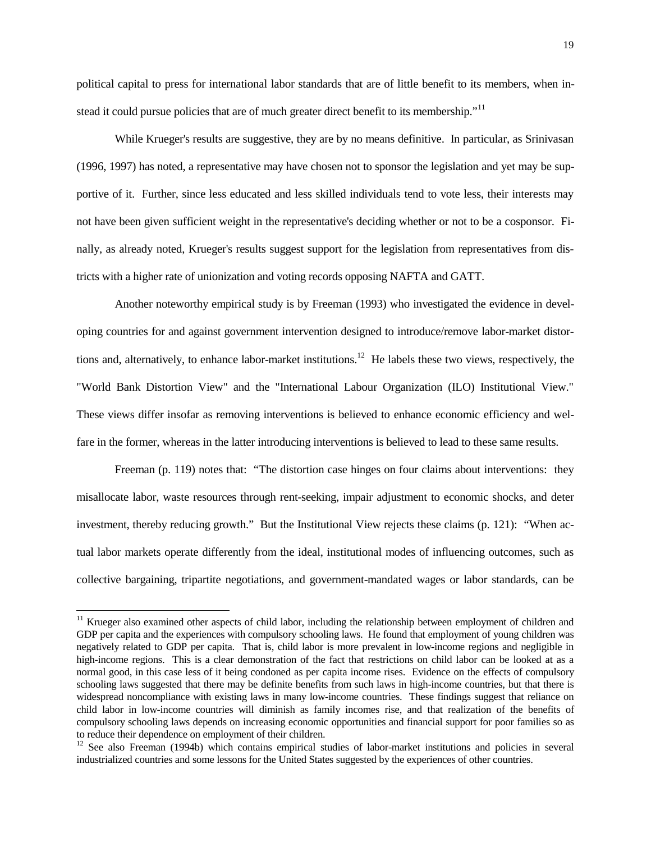political capital to press for international labor standards that are of little benefit to its members, when instead it could pursue policies that are of much greater direct benefit to its membership."<sup>11</sup>

While Krueger's results are suggestive, they are by no means definitive. In particular, as Srinivasan (1996, 1997) has noted, a representative may have chosen not to sponsor the legislation and yet may be supportive of it. Further, since less educated and less skilled individuals tend to vote less, their interests may not have been given sufficient weight in the representative's deciding whether or not to be a cosponsor. Finally, as already noted, Krueger's results suggest support for the legislation from representatives from districts with a higher rate of unionization and voting records opposing NAFTA and GATT.

Another noteworthy empirical study is by Freeman (1993) who investigated the evidence in developing countries for and against government intervention designed to introduce/remove labor-market distortions and, alternatively, to enhance labor-market institutions.<sup>12</sup> He labels these two views, respectively, the "World Bank Distortion View" and the "International Labour Organization (ILO) Institutional View." These views differ insofar as removing interventions is believed to enhance economic efficiency and welfare in the former, whereas in the latter introducing interventions is believed to lead to these same results.

Freeman (p. 119) notes that: "The distortion case hinges on four claims about interventions: they misallocate labor, waste resources through rent-seeking, impair adjustment to economic shocks, and deter investment, thereby reducing growth." But the Institutional View rejects these claims (p. 121): "When actual labor markets operate differently from the ideal, institutional modes of influencing outcomes, such as collective bargaining, tripartite negotiations, and government-mandated wages or labor standards, can be

<sup>&</sup>lt;sup>11</sup> Krueger also examined other aspects of child labor, including the relationship between employment of children and GDP per capita and the experiences with compulsory schooling laws. He found that employment of young children was negatively related to GDP per capita. That is, child labor is more prevalent in low-income regions and negligible in high-income regions. This is a clear demonstration of the fact that restrictions on child labor can be looked at as a normal good, in this case less of it being condoned as per capita income rises. Evidence on the effects of compulsory schooling laws suggested that there may be definite benefits from such laws in high-income countries, but that there is widespread noncompliance with existing laws in many low-income countries. These findings suggest that reliance on child labor in low-income countries will diminish as family incomes rise, and that realization of the benefits of compulsory schooling laws depends on increasing economic opportunities and financial support for poor families so as to reduce their dependence on employment of their children.

<sup>&</sup>lt;sup>12</sup> See also Freeman (1994b) which contains empirical studies of labor-market institutions and policies in several industrialized countries and some lessons for the United States suggested by the experiences of other countries.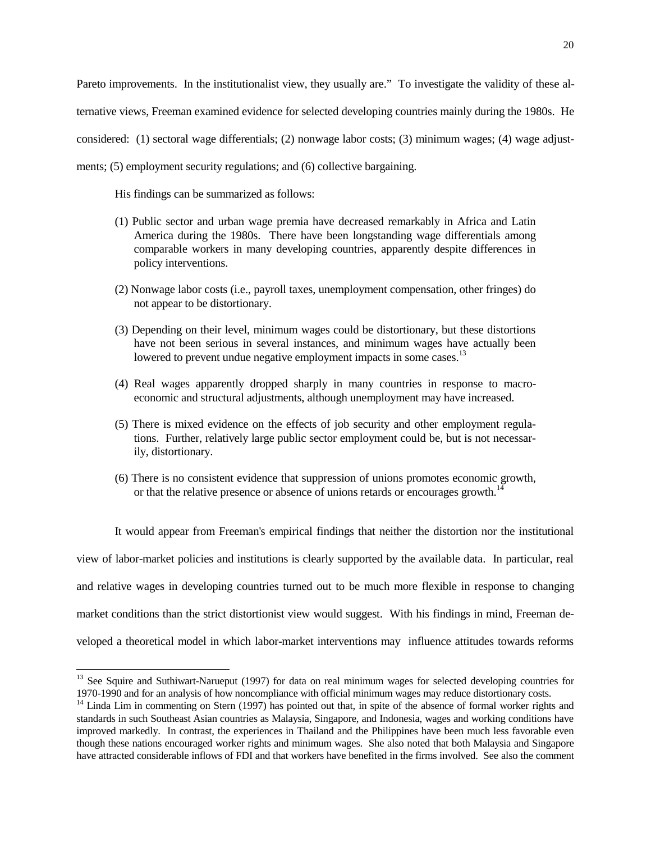Pareto improvements. In the institutionalist view, they usually are." To investigate the validity of these alternative views, Freeman examined evidence for selected developing countries mainly during the 1980s. He considered: (1) sectoral wage differentials; (2) nonwage labor costs; (3) minimum wages; (4) wage adjustments; (5) employment security regulations; and (6) collective bargaining.

His findings can be summarized as follows:

 $\overline{a}$ 

- (1) Public sector and urban wage premia have decreased remarkably in Africa and Latin America during the 1980s. There have been longstanding wage differentials among comparable workers in many developing countries, apparently despite differences in policy interventions.
- (2) Nonwage labor costs (i.e., payroll taxes, unemployment compensation, other fringes) do not appear to be distortionary.
- (3) Depending on their level, minimum wages could be distortionary, but these distortions have not been serious in several instances, and minimum wages have actually been lowered to prevent undue negative employment impacts in some cases.<sup>13</sup>
- (4) Real wages apparently dropped sharply in many countries in response to macroeconomic and structural adjustments, although unemployment may have increased.
- (5) There is mixed evidence on the effects of job security and other employment regulations. Further, relatively large public sector employment could be, but is not necessarily, distortionary.
- (6) There is no consistent evidence that suppression of unions promotes economic growth, or that the relative presence or absence of unions retards or encourages growth.<sup>14</sup>

It would appear from Freeman's empirical findings that neither the distortion nor the institutional view of labor-market policies and institutions is clearly supported by the available data. In particular, real and relative wages in developing countries turned out to be much more flexible in response to changing market conditions than the strict distortionist view would suggest. With his findings in mind, Freeman developed a theoretical model in which labor-market interventions may influence attitudes towards reforms

<sup>&</sup>lt;sup>13</sup> See Squire and Suthiwart-Narueput (1997) for data on real minimum wages for selected developing countries for 1970-1990 and for an analysis of how noncompliance with official minimum wages may reduce distortionary costs.

 $14$  Linda Lim in commenting on Stern (1997) has pointed out that, in spite of the absence of formal worker rights and standards in such Southeast Asian countries as Malaysia, Singapore, and Indonesia, wages and working conditions have improved markedly. In contrast, the experiences in Thailand and the Philippines have been much less favorable even though these nations encouraged worker rights and minimum wages. She also noted that both Malaysia and Singapore have attracted considerable inflows of FDI and that workers have benefited in the firms involved. See also the comment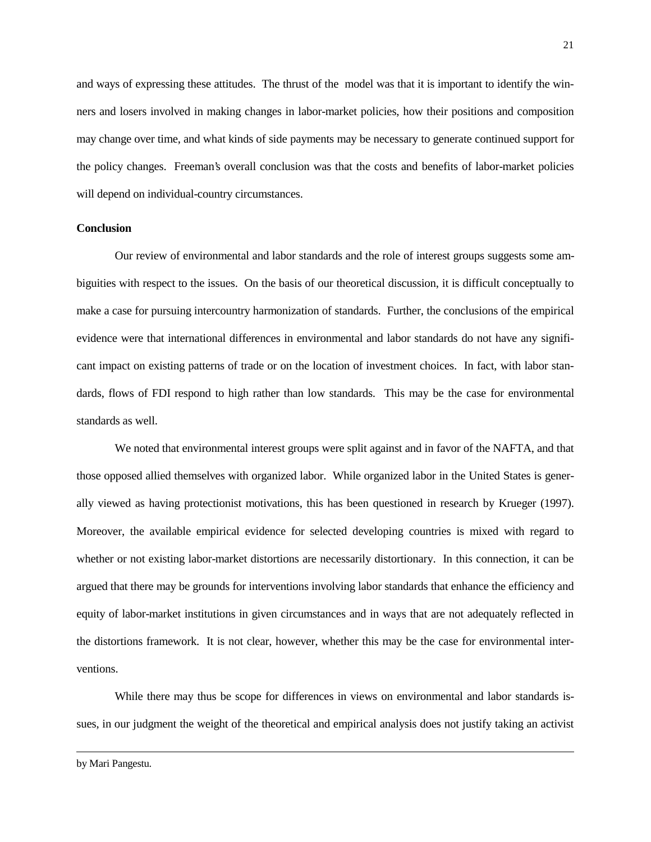and ways of expressing these attitudes. The thrust of the model was that it is important to identify the winners and losers involved in making changes in labor-market policies, how their positions and composition may change over time, and what kinds of side payments may be necessary to generate continued support for the policy changes. Freeman's overall conclusion was that the costs and benefits of labor-market policies will depend on individual-country circumstances.

# **Conclusion**

Our review of environmental and labor standards and the role of interest groups suggests some ambiguities with respect to the issues. On the basis of our theoretical discussion, it is difficult conceptually to make a case for pursuing intercountry harmonization of standards. Further, the conclusions of the empirical evidence were that international differences in environmental and labor standards do not have any significant impact on existing patterns of trade or on the location of investment choices. In fact, with labor standards, flows of FDI respond to high rather than low standards. This may be the case for environmental standards as well.

We noted that environmental interest groups were split against and in favor of the NAFTA, and that those opposed allied themselves with organized labor. While organized labor in the United States is generally viewed as having protectionist motivations, this has been questioned in research by Krueger (1997). Moreover, the available empirical evidence for selected developing countries is mixed with regard to whether or not existing labor-market distortions are necessarily distortionary. In this connection, it can be argued that there may be grounds for interventions involving labor standards that enhance the efficiency and equity of labor-market institutions in given circumstances and in ways that are not adequately reflected in the distortions framework. It is not clear, however, whether this may be the case for environmental interventions.

While there may thus be scope for differences in views on environmental and labor standards issues, in our judgment the weight of the theoretical and empirical analysis does not justify taking an activist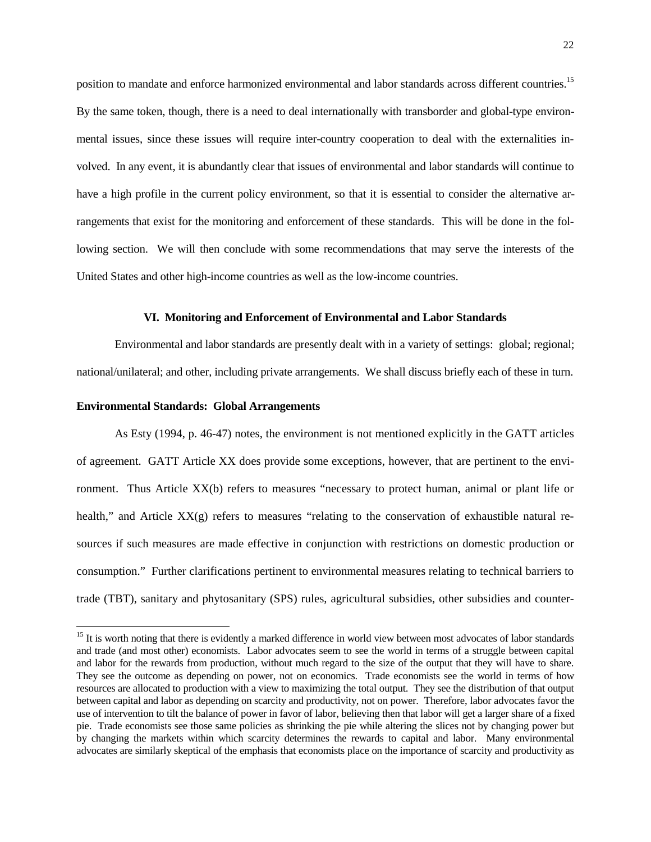position to mandate and enforce harmonized environmental and labor standards across different countries.<sup>15</sup> By the same token, though, there is a need to deal internationally with transborder and global-type environmental issues, since these issues will require inter-country cooperation to deal with the externalities involved. In any event, it is abundantly clear that issues of environmental and labor standards will continue to have a high profile in the current policy environment, so that it is essential to consider the alternative arrangements that exist for the monitoring and enforcement of these standards. This will be done in the following section. We will then conclude with some recommendations that may serve the interests of the United States and other high-income countries as well as the low-income countries.

#### **VI. Monitoring and Enforcement of Environmental and Labor Standards**

Environmental and labor standards are presently dealt with in a variety of settings: global; regional; national/unilateral; and other, including private arrangements. We shall discuss briefly each of these in turn.

## **Environmental Standards: Global Arrangements**

 $\overline{a}$ 

As Esty (1994, p. 46-47) notes, the environment is not mentioned explicitly in the GATT articles of agreement. GATT Article XX does provide some exceptions, however, that are pertinent to the environment. Thus Article XX(b) refers to measures "necessary to protect human, animal or plant life or health," and Article XX(g) refers to measures "relating to the conservation of exhaustible natural resources if such measures are made effective in conjunction with restrictions on domestic production or consumption." Further clarifications pertinent to environmental measures relating to technical barriers to trade (TBT), sanitary and phytosanitary (SPS) rules, agricultural subsidies, other subsidies and counter-

<sup>&</sup>lt;sup>15</sup> It is worth noting that there is evidently a marked difference in world view between most advocates of labor standards and trade (and most other) economists. Labor advocates seem to see the world in terms of a struggle between capital and labor for the rewards from production, without much regard to the size of the output that they will have to share. They see the outcome as depending on power, not on economics. Trade economists see the world in terms of how resources are allocated to production with a view to maximizing the total output. They see the distribution of that output between capital and labor as depending on scarcity and productivity, not on power. Therefore, labor advocates favor the use of intervention to tilt the balance of power in favor of labor, believing then that labor will get a larger share of a fixed pie. Trade economists see those same policies as shrinking the pie while altering the slices not by changing power but by changing the markets within which scarcity determines the rewards to capital and labor. Many environmental advocates are similarly skeptical of the emphasis that economists place on the importance of scarcity and productivity as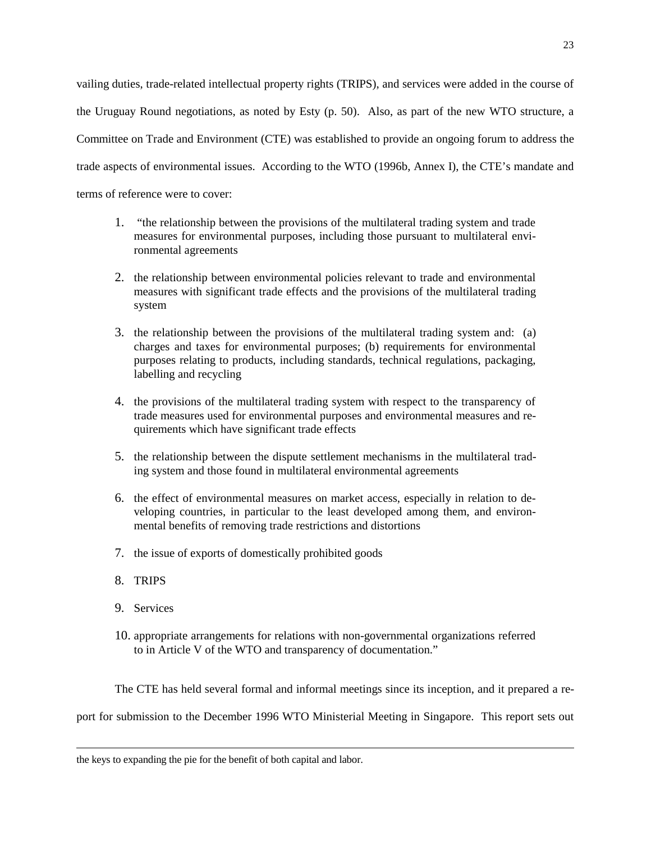vailing duties, trade-related intellectual property rights (TRIPS), and services were added in the course of the Uruguay Round negotiations, as noted by Esty (p. 50). Also, as part of the new WTO structure, a Committee on Trade and Environment (CTE) was established to provide an ongoing forum to address the trade aspects of environmental issues. According to the WTO (1996b, Annex I), the CTE's mandate and terms of reference were to cover:

- 1. "the relationship between the provisions of the multilateral trading system and trade measures for environmental purposes, including those pursuant to multilateral environmental agreements
- 2. the relationship between environmental policies relevant to trade and environmental measures with significant trade effects and the provisions of the multilateral trading system
- 3. the relationship between the provisions of the multilateral trading system and: (a) charges and taxes for environmental purposes; (b) requirements for environmental purposes relating to products, including standards, technical regulations, packaging, labelling and recycling
- 4. the provisions of the multilateral trading system with respect to the transparency of trade measures used for environmental purposes and environmental measures and requirements which have significant trade effects
- 5. the relationship between the dispute settlement mechanisms in the multilateral trading system and those found in multilateral environmental agreements
- 6. the effect of environmental measures on market access, especially in relation to developing countries, in particular to the least developed among them, and environmental benefits of removing trade restrictions and distortions
- 7. the issue of exports of domestically prohibited goods
- 8. TRIPS
- 9. Services

 $\overline{a}$ 

10. appropriate arrangements for relations with non-governmental organizations referred to in Article V of the WTO and transparency of documentation."

The CTE has held several formal and informal meetings since its inception, and it prepared a re-

port for submission to the December 1996 WTO Ministerial Meeting in Singapore. This report sets out

the keys to expanding the pie for the benefit of both capital and labor.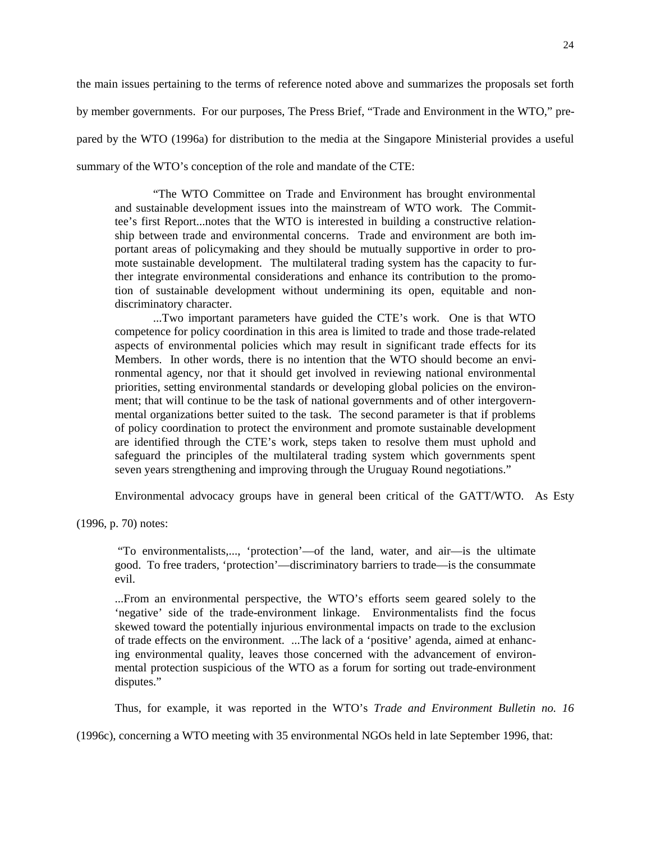the main issues pertaining to the terms of reference noted above and summarizes the proposals set forth by member governments. For our purposes, The Press Brief, "Trade and Environment in the WTO," prepared by the WTO (1996a) for distribution to the media at the Singapore Ministerial provides a useful summary of the WTO's conception of the role and mandate of the CTE:

"The WTO Committee on Trade and Environment has brought environmental and sustainable development issues into the mainstream of WTO work. The Committee's first Report...notes that the WTO is interested in building a constructive relationship between trade and environmental concerns. Trade and environment are both important areas of policymaking and they should be mutually supportive in order to promote sustainable development. The multilateral trading system has the capacity to further integrate environmental considerations and enhance its contribution to the promotion of sustainable development without undermining its open, equitable and nondiscriminatory character.

...Two important parameters have guided the CTE's work. One is that WTO competence for policy coordination in this area is limited to trade and those trade-related aspects of environmental policies which may result in significant trade effects for its Members. In other words, there is no intention that the WTO should become an environmental agency, nor that it should get involved in reviewing national environmental priorities, setting environmental standards or developing global policies on the environment; that will continue to be the task of national governments and of other intergovernmental organizations better suited to the task. The second parameter is that if problems of policy coordination to protect the environment and promote sustainable development are identified through the CTE's work, steps taken to resolve them must uphold and safeguard the principles of the multilateral trading system which governments spent seven years strengthening and improving through the Uruguay Round negotiations."

Environmental advocacy groups have in general been critical of the GATT/WTO. As Esty

(1996, p. 70) notes:

 "To environmentalists,..., 'protection'—of the land, water, and air—is the ultimate good. To free traders, 'protection'—discriminatory barriers to trade—is the consummate evil.

...From an environmental perspective, the WTO's efforts seem geared solely to the 'negative' side of the trade-environment linkage. Environmentalists find the focus skewed toward the potentially injurious environmental impacts on trade to the exclusion of trade effects on the environment. ...The lack of a 'positive' agenda, aimed at enhancing environmental quality, leaves those concerned with the advancement of environmental protection suspicious of the WTO as a forum for sorting out trade-environment disputes."

Thus, for example, it was reported in the WTO's *Trade and Environment Bulletin no. 16*

(1996c), concerning a WTO meeting with 35 environmental NGOs held in late September 1996, that: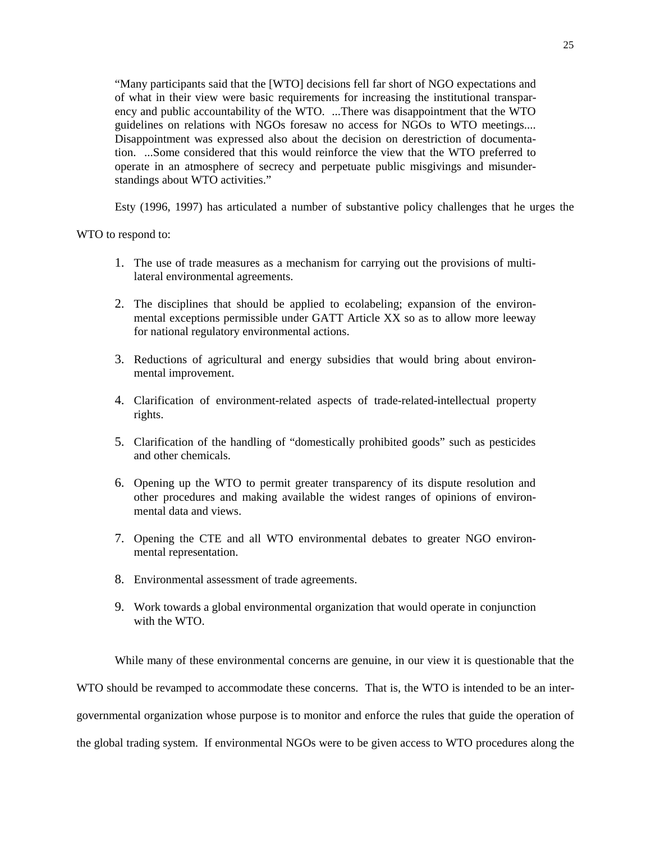"Many participants said that the [WTO] decisions fell far short of NGO expectations and of what in their view were basic requirements for increasing the institutional transparency and public accountability of the WTO. ...There was disappointment that the WTO guidelines on relations with NGOs foresaw no access for NGOs to WTO meetings.... Disappointment was expressed also about the decision on derestriction of documentation. ...Some considered that this would reinforce the view that the WTO preferred to operate in an atmosphere of secrecy and perpetuate public misgivings and misunderstandings about WTO activities."

Esty (1996, 1997) has articulated a number of substantive policy challenges that he urges the

WTO to respond to:

- 1. The use of trade measures as a mechanism for carrying out the provisions of multilateral environmental agreements.
- 2. The disciplines that should be applied to ecolabeling; expansion of the environmental exceptions permissible under GATT Article XX so as to allow more leeway for national regulatory environmental actions.
- 3. Reductions of agricultural and energy subsidies that would bring about environmental improvement.
- 4. Clarification of environment-related aspects of trade-related-intellectual property rights.
- 5. Clarification of the handling of "domestically prohibited goods" such as pesticides and other chemicals.
- 6. Opening up the WTO to permit greater transparency of its dispute resolution and other procedures and making available the widest ranges of opinions of environmental data and views.
- 7. Opening the CTE and all WTO environmental debates to greater NGO environmental representation.
- 8. Environmental assessment of trade agreements.
- 9. Work towards a global environmental organization that would operate in conjunction with the WTO.

While many of these environmental concerns are genuine, in our view it is questionable that the WTO should be revamped to accommodate these concerns. That is, the WTO is intended to be an intergovernmental organization whose purpose is to monitor and enforce the rules that guide the operation of the global trading system. If environmental NGOs were to be given access to WTO procedures along the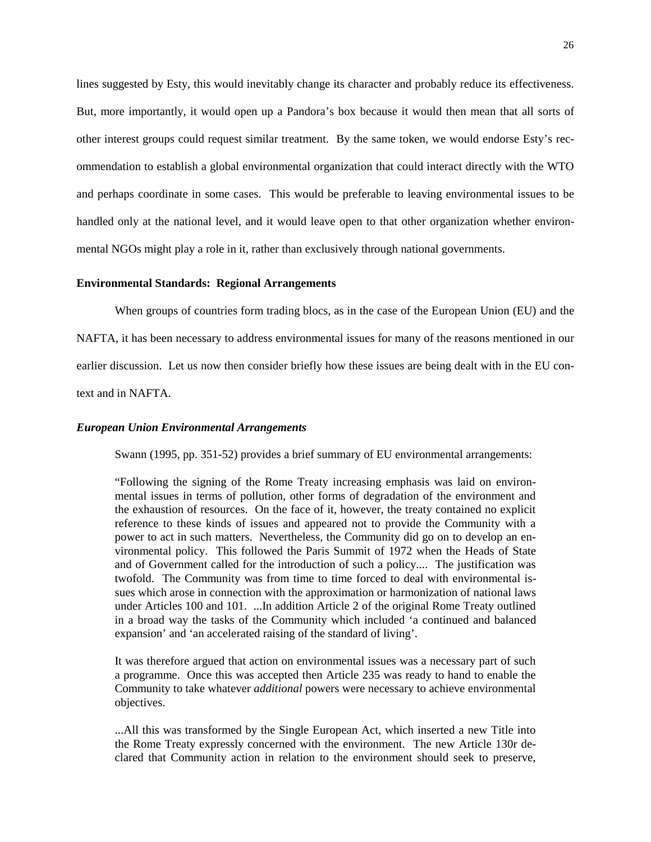lines suggested by Esty, this would inevitably change its character and probably reduce its effectiveness. But, more importantly, it would open up a Pandora's box because it would then mean that all sorts of other interest groups could request similar treatment. By the same token, we would endorse Esty's recommendation to establish a global environmental organization that could interact directly with the WTO and perhaps coordinate in some cases. This would be preferable to leaving environmental issues to be handled only at the national level, and it would leave open to that other organization whether environmental NGOs might play a role in it, rather than exclusively through national governments.

## **Environmental Standards: Regional Arrangements**

When groups of countries form trading blocs, as in the case of the European Union (EU) and the NAFTA, it has been necessary to address environmental issues for many of the reasons mentioned in our earlier discussion. Let us now then consider briefly how these issues are being dealt with in the EU context and in NAFTA.

# *European Union Environmental Arrangements*

Swann (1995, pp. 351-52) provides a brief summary of EU environmental arrangements:

"Following the signing of the Rome Treaty increasing emphasis was laid on environmental issues in terms of pollution, other forms of degradation of the environment and the exhaustion of resources. On the face of it, however, the treaty contained no explicit reference to these kinds of issues and appeared not to provide the Community with a power to act in such matters. Nevertheless, the Community did go on to develop an environmental policy. This followed the Paris Summit of 1972 when the Heads of State and of Government called for the introduction of such a policy.... The justification was twofold. The Community was from time to time forced to deal with environmental issues which arose in connection with the approximation or harmonization of national laws under Articles 100 and 101. ...In addition Article 2 of the original Rome Treaty outlined in a broad way the tasks of the Community which included 'a continued and balanced expansion' and 'an accelerated raising of the standard of living'.

It was therefore argued that action on environmental issues was a necessary part of such a programme. Once this was accepted then Article 235 was ready to hand to enable the Community to take whatever *additional* powers were necessary to achieve environmental objectives.

...All this was transformed by the Single European Act, which inserted a new Title into the Rome Treaty expressly concerned with the environment. The new Article 130r declared that Community action in relation to the environment should seek to preserve,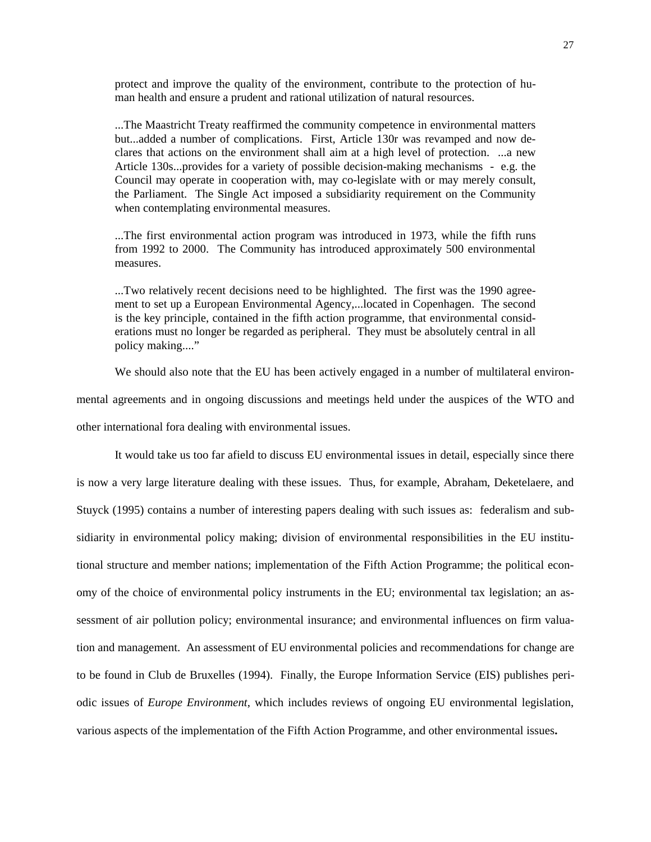protect and improve the quality of the environment, contribute to the protection of human health and ensure a prudent and rational utilization of natural resources.

...The Maastricht Treaty reaffirmed the community competence in environmental matters but...added a number of complications. First, Article 130r was revamped and now declares that actions on the environment shall aim at a high level of protection. ...a new Article 130s...provides for a variety of possible decision-making mechanisms - e.g. the Council may operate in cooperation with, may co-legislate with or may merely consult, the Parliament. The Single Act imposed a subsidiarity requirement on the Community when contemplating environmental measures.

...The first environmental action program was introduced in 1973, while the fifth runs from 1992 to 2000. The Community has introduced approximately 500 environmental measures.

...Two relatively recent decisions need to be highlighted. The first was the 1990 agreement to set up a European Environmental Agency,...located in Copenhagen. The second is the key principle, contained in the fifth action programme, that environmental considerations must no longer be regarded as peripheral. They must be absolutely central in all policy making...."

We should also note that the EU has been actively engaged in a number of multilateral environmental agreements and in ongoing discussions and meetings held under the auspices of the WTO and other international fora dealing with environmental issues.

It would take us too far afield to discuss EU environmental issues in detail, especially since there is now a very large literature dealing with these issues. Thus, for example, Abraham, Deketelaere, and Stuyck (1995) contains a number of interesting papers dealing with such issues as: federalism and subsidiarity in environmental policy making; division of environmental responsibilities in the EU institutional structure and member nations; implementation of the Fifth Action Programme; the political economy of the choice of environmental policy instruments in the EU; environmental tax legislation; an assessment of air pollution policy; environmental insurance; and environmental influences on firm valuation and management. An assessment of EU environmental policies and recommendations for change are to be found in Club de Bruxelles (1994). Finally, the Europe Information Service (EIS) publishes periodic issues of *Europe Environment*, which includes reviews of ongoing EU environmental legislation, various aspects of the implementation of the Fifth Action Programme, and other environmental issues**.**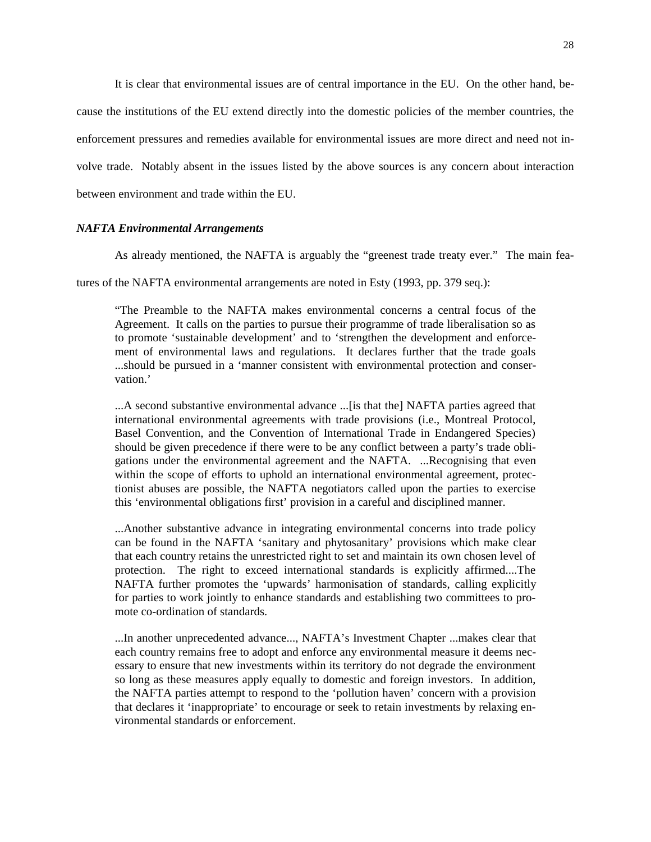It is clear that environmental issues are of central importance in the EU. On the other hand, because the institutions of the EU extend directly into the domestic policies of the member countries, the enforcement pressures and remedies available for environmental issues are more direct and need not involve trade. Notably absent in the issues listed by the above sources is any concern about interaction between environment and trade within the EU.

# *NAFTA Environmental Arrangements*

As already mentioned, the NAFTA is arguably the "greenest trade treaty ever." The main fea-

tures of the NAFTA environmental arrangements are noted in Esty (1993, pp. 379 seq.):

"The Preamble to the NAFTA makes environmental concerns a central focus of the Agreement. It calls on the parties to pursue their programme of trade liberalisation so as to promote 'sustainable development' and to 'strengthen the development and enforcement of environmental laws and regulations. It declares further that the trade goals ...should be pursued in a 'manner consistent with environmental protection and conservation<sup>'</sup>

...A second substantive environmental advance ...[is that the] NAFTA parties agreed that international environmental agreements with trade provisions (i.e., Montreal Protocol, Basel Convention, and the Convention of International Trade in Endangered Species) should be given precedence if there were to be any conflict between a party's trade obligations under the environmental agreement and the NAFTA. ...Recognising that even within the scope of efforts to uphold an international environmental agreement, protectionist abuses are possible, the NAFTA negotiators called upon the parties to exercise this 'environmental obligations first' provision in a careful and disciplined manner.

...Another substantive advance in integrating environmental concerns into trade policy can be found in the NAFTA 'sanitary and phytosanitary' provisions which make clear that each country retains the unrestricted right to set and maintain its own chosen level of protection. The right to exceed international standards is explicitly affirmed....The NAFTA further promotes the 'upwards' harmonisation of standards, calling explicitly for parties to work jointly to enhance standards and establishing two committees to promote co-ordination of standards.

...In another unprecedented advance..., NAFTA's Investment Chapter ...makes clear that each country remains free to adopt and enforce any environmental measure it deems necessary to ensure that new investments within its territory do not degrade the environment so long as these measures apply equally to domestic and foreign investors. In addition, the NAFTA parties attempt to respond to the 'pollution haven' concern with a provision that declares it 'inappropriate' to encourage or seek to retain investments by relaxing environmental standards or enforcement.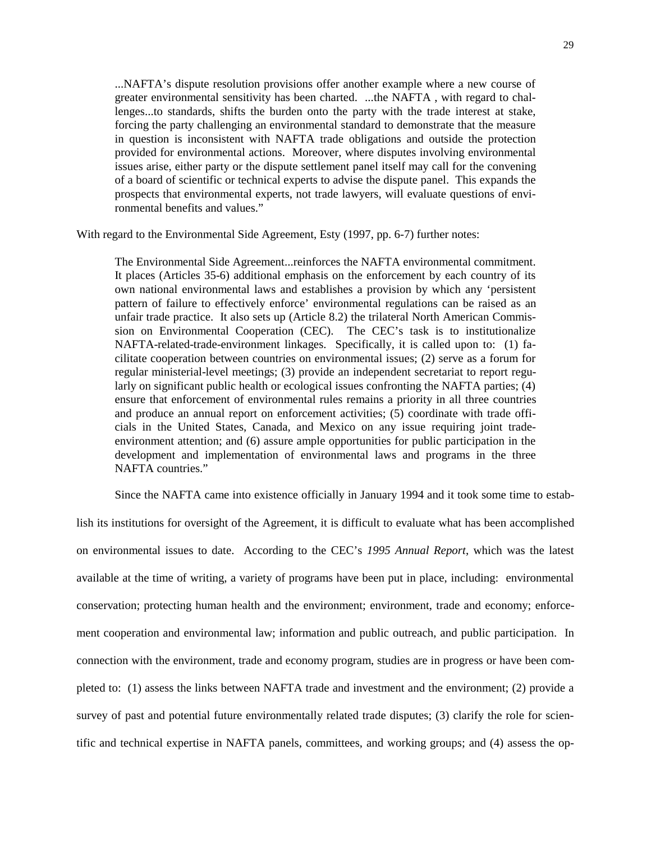...NAFTA's dispute resolution provisions offer another example where a new course of greater environmental sensitivity has been charted. ...the NAFTA , with regard to challenges...to standards, shifts the burden onto the party with the trade interest at stake, forcing the party challenging an environmental standard to demonstrate that the measure in question is inconsistent with NAFTA trade obligations and outside the protection provided for environmental actions. Moreover, where disputes involving environmental issues arise, either party or the dispute settlement panel itself may call for the convening of a board of scientific or technical experts to advise the dispute panel. This expands the prospects that environmental experts, not trade lawyers, will evaluate questions of environmental benefits and values."

With regard to the Environmental Side Agreement, Esty (1997, pp. 6-7) further notes:

The Environmental Side Agreement...reinforces the NAFTA environmental commitment. It places (Articles 35-6) additional emphasis on the enforcement by each country of its own national environmental laws and establishes a provision by which any 'persistent pattern of failure to effectively enforce' environmental regulations can be raised as an unfair trade practice. It also sets up (Article 8.2) the trilateral North American Commission on Environmental Cooperation (CEC). The CEC's task is to institutionalize NAFTA-related-trade-environment linkages. Specifically, it is called upon to: (1) facilitate cooperation between countries on environmental issues; (2) serve as a forum for regular ministerial-level meetings; (3) provide an independent secretariat to report regularly on significant public health or ecological issues confronting the NAFTA parties; (4) ensure that enforcement of environmental rules remains a priority in all three countries and produce an annual report on enforcement activities; (5) coordinate with trade officials in the United States, Canada, and Mexico on any issue requiring joint tradeenvironment attention; and (6) assure ample opportunities for public participation in the development and implementation of environmental laws and programs in the three NAFTA countries."

Since the NAFTA came into existence officially in January 1994 and it took some time to estab-

lish its institutions for oversight of the Agreement, it is difficult to evaluate what has been accomplished on environmental issues to date. According to the CEC's *1995 Annual Report*, which was the latest available at the time of writing, a variety of programs have been put in place, including: environmental conservation; protecting human health and the environment; environment, trade and economy; enforcement cooperation and environmental law; information and public outreach, and public participation. In connection with the environment, trade and economy program, studies are in progress or have been completed to: (1) assess the links between NAFTA trade and investment and the environment; (2) provide a survey of past and potential future environmentally related trade disputes; (3) clarify the role for scientific and technical expertise in NAFTA panels, committees, and working groups; and (4) assess the op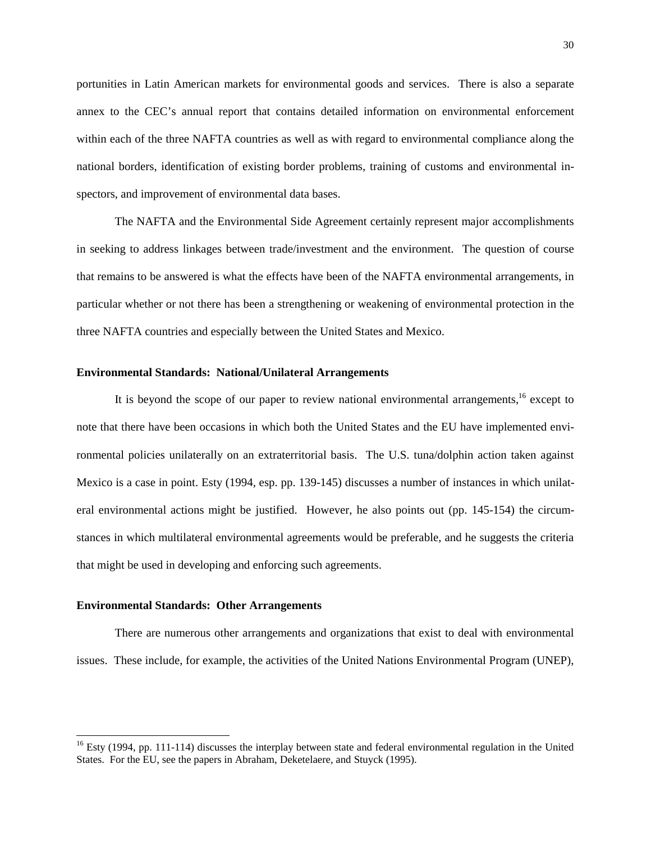portunities in Latin American markets for environmental goods and services. There is also a separate annex to the CEC's annual report that contains detailed information on environmental enforcement within each of the three NAFTA countries as well as with regard to environmental compliance along the national borders, identification of existing border problems, training of customs and environmental inspectors, and improvement of environmental data bases.

The NAFTA and the Environmental Side Agreement certainly represent major accomplishments in seeking to address linkages between trade/investment and the environment. The question of course that remains to be answered is what the effects have been of the NAFTA environmental arrangements, in particular whether or not there has been a strengthening or weakening of environmental protection in the three NAFTA countries and especially between the United States and Mexico.

## **Environmental Standards: National/Unilateral Arrangements**

It is beyond the scope of our paper to review national environmental arrangements,  $16$  except to note that there have been occasions in which both the United States and the EU have implemented environmental policies unilaterally on an extraterritorial basis. The U.S. tuna/dolphin action taken against Mexico is a case in point. Esty (1994, esp. pp. 139-145) discusses a number of instances in which unilateral environmental actions might be justified. However, he also points out (pp. 145-154) the circumstances in which multilateral environmental agreements would be preferable, and he suggests the criteria that might be used in developing and enforcing such agreements.

# **Environmental Standards: Other Arrangements**

 $\overline{a}$ 

There are numerous other arrangements and organizations that exist to deal with environmental issues. These include, for example, the activities of the United Nations Environmental Program (UNEP),

 $^{16}$  Esty (1994, pp. 111-114) discusses the interplay between state and federal environmental regulation in the United States. For the EU, see the papers in Abraham, Deketelaere, and Stuyck (1995).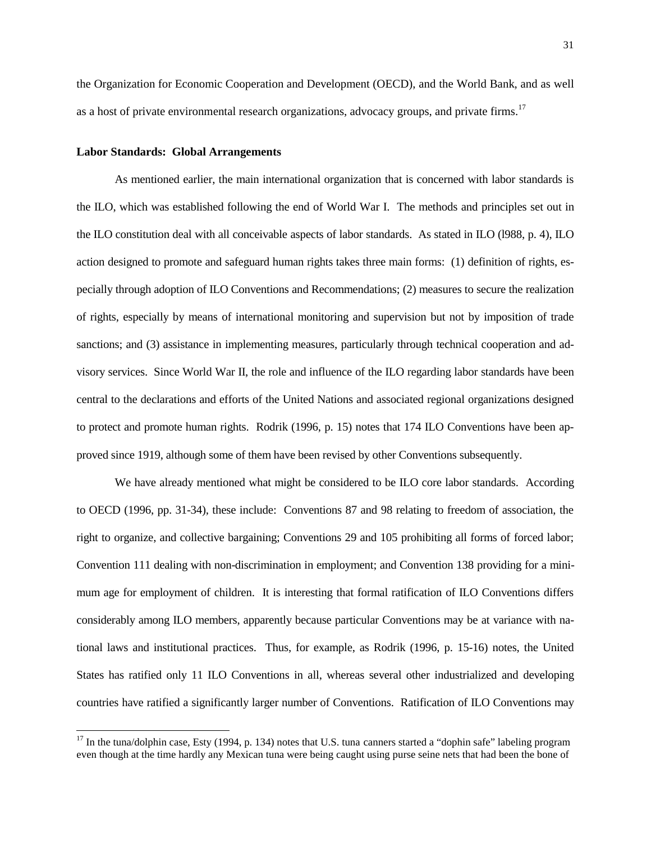the Organization for Economic Cooperation and Development (OECD), and the World Bank, and as well as a host of private environmental research organizations, advocacy groups, and private firms.<sup>17</sup>

## **Labor Standards: Global Arrangements**

 $\overline{a}$ 

As mentioned earlier, the main international organization that is concerned with labor standards is the ILO, which was established following the end of World War I. The methods and principles set out in the ILO constitution deal with all conceivable aspects of labor standards. As stated in ILO (l988, p. 4), ILO action designed to promote and safeguard human rights takes three main forms: (1) definition of rights, especially through adoption of ILO Conventions and Recommendations; (2) measures to secure the realization of rights, especially by means of international monitoring and supervision but not by imposition of trade sanctions; and (3) assistance in implementing measures, particularly through technical cooperation and advisory services. Since World War II, the role and influence of the ILO regarding labor standards have been central to the declarations and efforts of the United Nations and associated regional organizations designed to protect and promote human rights. Rodrik (1996, p. 15) notes that 174 ILO Conventions have been approved since 1919, although some of them have been revised by other Conventions subsequently.

We have already mentioned what might be considered to be ILO core labor standards. According to OECD (1996, pp. 31-34), these include: Conventions 87 and 98 relating to freedom of association, the right to organize, and collective bargaining; Conventions 29 and 105 prohibiting all forms of forced labor; Convention 111 dealing with non-discrimination in employment; and Convention 138 providing for a minimum age for employment of children. It is interesting that formal ratification of ILO Conventions differs considerably among ILO members, apparently because particular Conventions may be at variance with national laws and institutional practices. Thus, for example, as Rodrik (1996, p. 15-16) notes, the United States has ratified only 11 ILO Conventions in all, whereas several other industrialized and developing countries have ratified a significantly larger number of Conventions. Ratification of ILO Conventions may

 $17$  In the tuna/dolphin case, Esty (1994, p. 134) notes that U.S. tuna canners started a "dophin safe" labeling program even though at the time hardly any Mexican tuna were being caught using purse seine nets that had been the bone of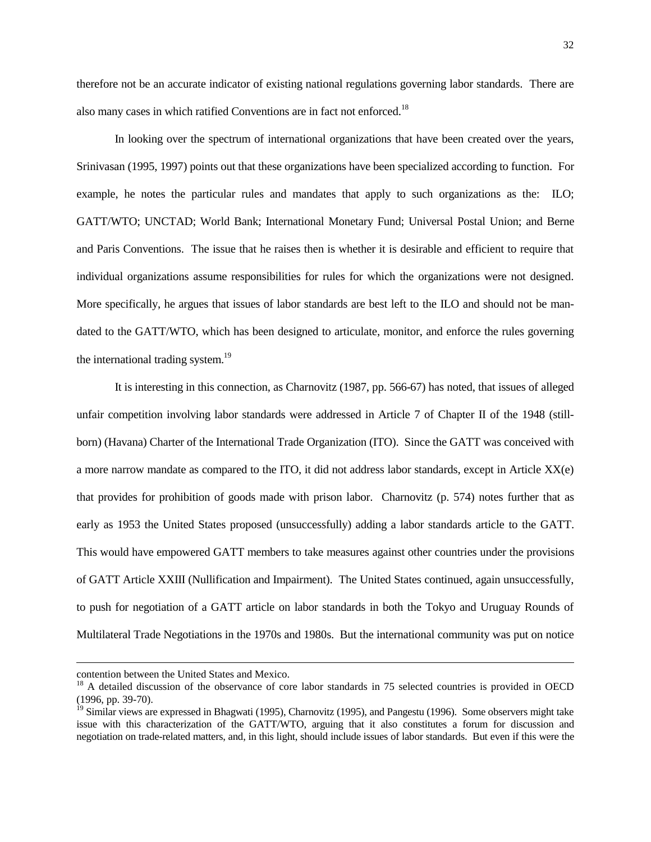therefore not be an accurate indicator of existing national regulations governing labor standards. There are also many cases in which ratified Conventions are in fact not enforced.<sup>18</sup>

In looking over the spectrum of international organizations that have been created over the years, Srinivasan (1995, 1997) points out that these organizations have been specialized according to function. For example, he notes the particular rules and mandates that apply to such organizations as the: ILO; GATT/WTO; UNCTAD; World Bank; International Monetary Fund; Universal Postal Union; and Berne and Paris Conventions. The issue that he raises then is whether it is desirable and efficient to require that individual organizations assume responsibilities for rules for which the organizations were not designed. More specifically, he argues that issues of labor standards are best left to the ILO and should not be mandated to the GATT/WTO, which has been designed to articulate, monitor, and enforce the rules governing the international trading system.<sup>19</sup>

It is interesting in this connection, as Charnovitz (1987, pp. 566-67) has noted, that issues of alleged unfair competition involving labor standards were addressed in Article 7 of Chapter II of the 1948 (stillborn) (Havana) Charter of the International Trade Organization (ITO). Since the GATT was conceived with a more narrow mandate as compared to the ITO, it did not address labor standards, except in Article XX(e) that provides for prohibition of goods made with prison labor. Charnovitz (p. 574) notes further that as early as 1953 the United States proposed (unsuccessfully) adding a labor standards article to the GATT. This would have empowered GATT members to take measures against other countries under the provisions of GATT Article XXIII (Nullification and Impairment). The United States continued, again unsuccessfully, to push for negotiation of a GATT article on labor standards in both the Tokyo and Uruguay Rounds of Multilateral Trade Negotiations in the 1970s and 1980s. But the international community was put on notice

contention between the United States and Mexico.

 $18$  A detailed discussion of the observance of core labor standards in 75 selected countries is provided in OECD (1996, pp. 39-70).

 $19$  Similar views are expressed in Bhagwati (1995), Charnovitz (1995), and Pangestu (1996). Some observers might take issue with this characterization of the GATT/WTO, arguing that it also constitutes a forum for discussion and negotiation on trade-related matters, and, in this light, should include issues of labor standards. But even if this were the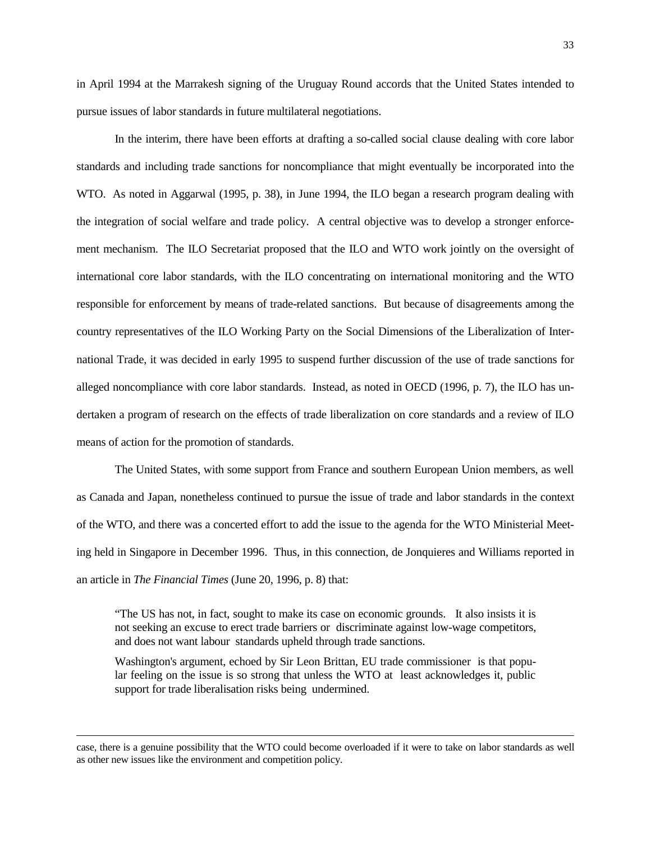in April 1994 at the Marrakesh signing of the Uruguay Round accords that the United States intended to pursue issues of labor standards in future multilateral negotiations.

In the interim, there have been efforts at drafting a so-called social clause dealing with core labor standards and including trade sanctions for noncompliance that might eventually be incorporated into the WTO. As noted in Aggarwal (1995, p. 38), in June 1994, the ILO began a research program dealing with the integration of social welfare and trade policy. A central objective was to develop a stronger enforcement mechanism. The ILO Secretariat proposed that the ILO and WTO work jointly on the oversight of international core labor standards, with the ILO concentrating on international monitoring and the WTO responsible for enforcement by means of trade-related sanctions. But because of disagreements among the country representatives of the ILO Working Party on the Social Dimensions of the Liberalization of International Trade, it was decided in early 1995 to suspend further discussion of the use of trade sanctions for alleged noncompliance with core labor standards. Instead, as noted in OECD (1996, p. 7), the ILO has undertaken a program of research on the effects of trade liberalization on core standards and a review of ILO means of action for the promotion of standards.

The United States, with some support from France and southern European Union members, as well as Canada and Japan, nonetheless continued to pursue the issue of trade and labor standards in the context of the WTO, and there was a concerted effort to add the issue to the agenda for the WTO Ministerial Meeting held in Singapore in December 1996. Thus, in this connection, de Jonquieres and Williams reported in an article in *The Financial Times* (June 20, 1996, p. 8) that:

"The US has not, in fact, sought to make its case on economic grounds. It also insists it is not seeking an excuse to erect trade barriers or discriminate against low-wage competitors, and does not want labour standards upheld through trade sanctions.

Washington's argument, echoed by Sir Leon Brittan, EU trade commissioner is that popular feeling on the issue is so strong that unless the WTO at least acknowledges it, public support for trade liberalisation risks being undermined.

case, there is a genuine possibility that the WTO could become overloaded if it were to take on labor standards as well as other new issues like the environment and competition policy.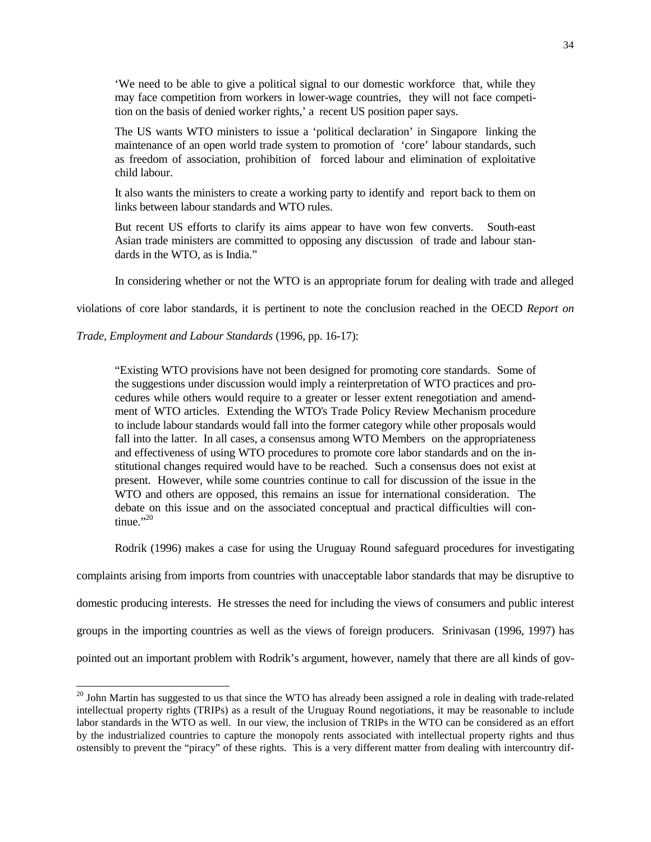'We need to be able to give a political signal to our domestic workforce that, while they may face competition from workers in lower-wage countries, they will not face competition on the basis of denied worker rights,' a recent US position paper says.

The US wants WTO ministers to issue a 'political declaration' in Singapore linking the maintenance of an open world trade system to promotion of 'core' labour standards, such as freedom of association, prohibition of forced labour and elimination of exploitative child labour.

It also wants the ministers to create a working party to identify and report back to them on links between labour standards and WTO rules.

But recent US efforts to clarify its aims appear to have won few converts. South-east Asian trade ministers are committed to opposing any discussion of trade and labour standards in the WTO, as is India."

In considering whether or not the WTO is an appropriate forum for dealing with trade and alleged

violations of core labor standards, it is pertinent to note the conclusion reached in the OECD *Report on*

*Trade, Employment and Labour Standards* (1996, pp. 16-17):

 $\overline{a}$ 

"Existing WTO provisions have not been designed for promoting core standards. Some of the suggestions under discussion would imply a reinterpretation of WTO practices and procedures while others would require to a greater or lesser extent renegotiation and amendment of WTO articles. Extending the WTO's Trade Policy Review Mechanism procedure to include labour standards would fall into the former category while other proposals would fall into the latter. In all cases, a consensus among WTO Members on the appropriateness and effectiveness of using WTO procedures to promote core labor standards and on the institutional changes required would have to be reached. Such a consensus does not exist at present. However, while some countries continue to call for discussion of the issue in the WTO and others are opposed, this remains an issue for international consideration. The debate on this issue and on the associated conceptual and practical difficulties will con $t$ inue." $^{20}$ 

Rodrik (1996) makes a case for using the Uruguay Round safeguard procedures for investigating

complaints arising from imports from countries with unacceptable labor standards that may be disruptive to domestic producing interests. He stresses the need for including the views of consumers and public interest

groups in the importing countries as well as the views of foreign producers. Srinivasan (1996, 1997) has

pointed out an important problem with Rodrik's argument, however, namely that there are all kinds of gov-

 $20$  John Martin has suggested to us that since the WTO has already been assigned a role in dealing with trade-related intellectual property rights (TRIPs) as a result of the Uruguay Round negotiations, it may be reasonable to include labor standards in the WTO as well. In our view, the inclusion of TRIPs in the WTO can be considered as an effort by the industrialized countries to capture the monopoly rents associated with intellectual property rights and thus ostensibly to prevent the "piracy" of these rights. This is a very different matter from dealing with intercountry dif-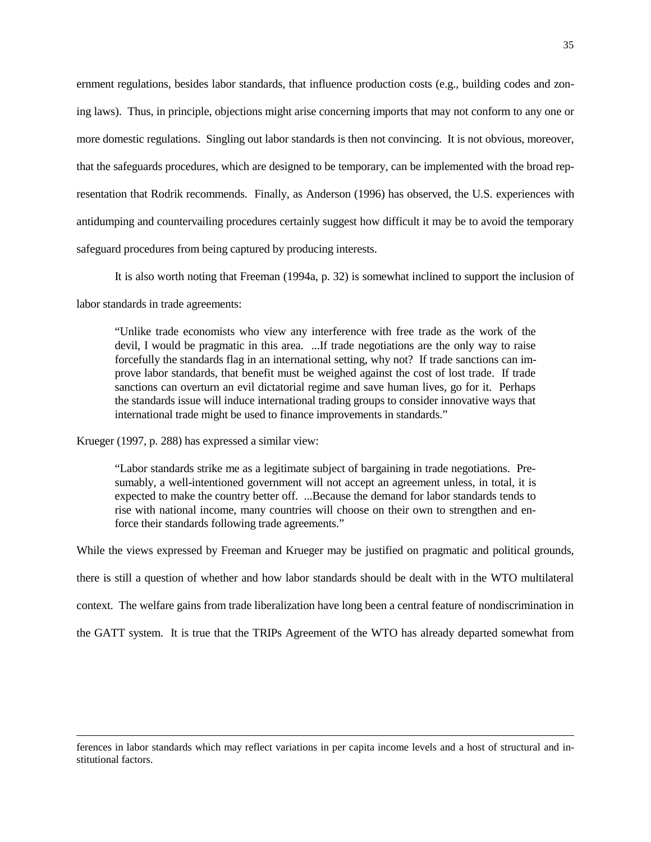ernment regulations, besides labor standards, that influence production costs (e.g., building codes and zoning laws). Thus, in principle, objections might arise concerning imports that may not conform to any one or more domestic regulations. Singling out labor standards is then not convincing. It is not obvious, moreover, that the safeguards procedures, which are designed to be temporary, can be implemented with the broad representation that Rodrik recommends. Finally, as Anderson (1996) has observed, the U.S. experiences with antidumping and countervailing procedures certainly suggest how difficult it may be to avoid the temporary safeguard procedures from being captured by producing interests.

It is also worth noting that Freeman (1994a, p. 32) is somewhat inclined to support the inclusion of

labor standards in trade agreements:

 $\overline{a}$ 

"Unlike trade economists who view any interference with free trade as the work of the devil, I would be pragmatic in this area. ...If trade negotiations are the only way to raise forcefully the standards flag in an international setting, why not? If trade sanctions can improve labor standards, that benefit must be weighed against the cost of lost trade. If trade sanctions can overturn an evil dictatorial regime and save human lives, go for it. Perhaps the standards issue will induce international trading groups to consider innovative ways that international trade might be used to finance improvements in standards."

Krueger (1997, p. 288) has expressed a similar view:

"Labor standards strike me as a legitimate subject of bargaining in trade negotiations. Presumably, a well-intentioned government will not accept an agreement unless, in total, it is expected to make the country better off. ...Because the demand for labor standards tends to rise with national income, many countries will choose on their own to strengthen and enforce their standards following trade agreements."

While the views expressed by Freeman and Krueger may be justified on pragmatic and political grounds, there is still a question of whether and how labor standards should be dealt with in the WTO multilateral context. The welfare gains from trade liberalization have long been a central feature of nondiscrimination in the GATT system. It is true that the TRIPs Agreement of the WTO has already departed somewhat from

ferences in labor standards which may reflect variations in per capita income levels and a host of structural and institutional factors.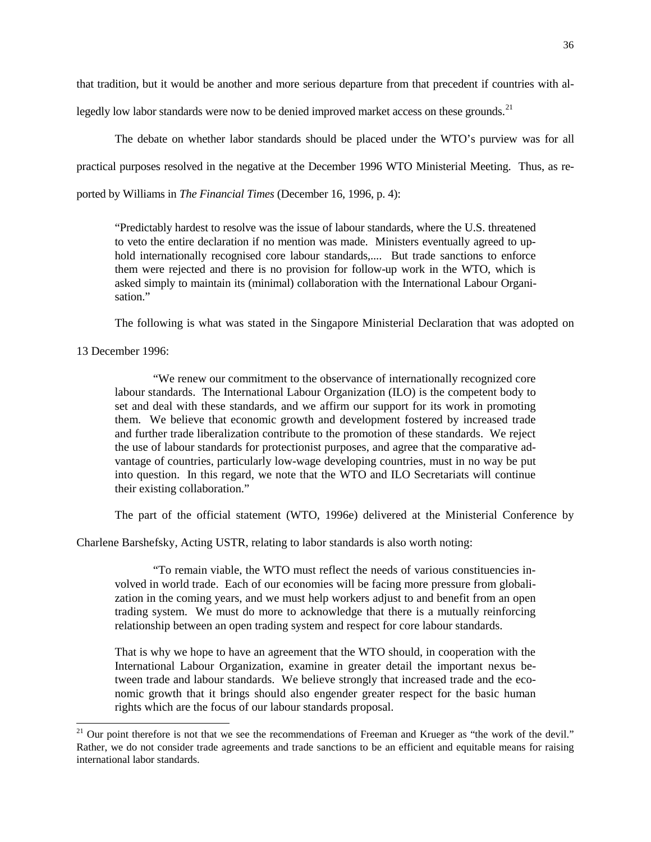that tradition, but it would be another and more serious departure from that precedent if countries with al-

legedly low labor standards were now to be denied improved market access on these grounds.<sup>21</sup>

The debate on whether labor standards should be placed under the WTO's purview was for all practical purposes resolved in the negative at the December 1996 WTO Ministerial Meeting. Thus, as reported by Williams in *The Financial Times* (December 16, 1996, p. 4):

"Predictably hardest to resolve was the issue of labour standards, where the U.S. threatened to veto the entire declaration if no mention was made. Ministers eventually agreed to uphold internationally recognised core labour standards,.... But trade sanctions to enforce them were rejected and there is no provision for follow-up work in the WTO, which is asked simply to maintain its (minimal) collaboration with the International Labour Organisation."

The following is what was stated in the Singapore Ministerial Declaration that was adopted on

# 13 December 1996:

 $\overline{a}$ 

"We renew our commitment to the observance of internationally recognized core labour standards. The International Labour Organization (ILO) is the competent body to set and deal with these standards, and we affirm our support for its work in promoting them. We believe that economic growth and development fostered by increased trade and further trade liberalization contribute to the promotion of these standards. We reject the use of labour standards for protectionist purposes, and agree that the comparative advantage of countries, particularly low-wage developing countries, must in no way be put into question. In this regard, we note that the WTO and ILO Secretariats will continue their existing collaboration."

The part of the official statement (WTO, 1996e) delivered at the Ministerial Conference by

Charlene Barshefsky, Acting USTR, relating to labor standards is also worth noting:

"To remain viable, the WTO must reflect the needs of various constituencies involved in world trade. Each of our economies will be facing more pressure from globalization in the coming years, and we must help workers adjust to and benefit from an open trading system. We must do more to acknowledge that there is a mutually reinforcing relationship between an open trading system and respect for core labour standards.

That is why we hope to have an agreement that the WTO should, in cooperation with the International Labour Organization, examine in greater detail the important nexus between trade and labour standards. We believe strongly that increased trade and the economic growth that it brings should also engender greater respect for the basic human rights which are the focus of our labour standards proposal.

 $21$  Our point therefore is not that we see the recommendations of Freeman and Krueger as "the work of the devil." Rather, we do not consider trade agreements and trade sanctions to be an efficient and equitable means for raising international labor standards.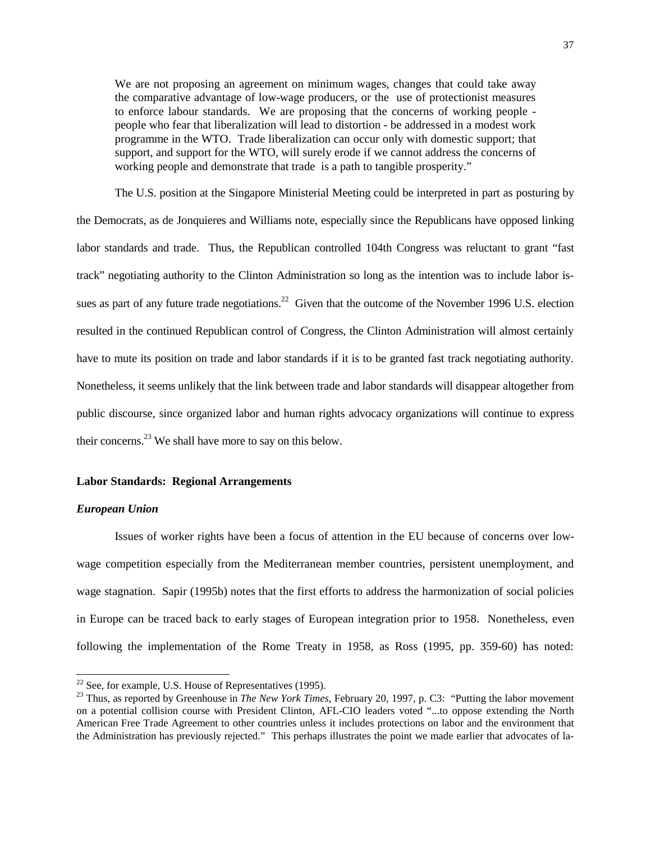We are not proposing an agreement on minimum wages, changes that could take away the comparative advantage of low-wage producers, or the use of protectionist measures to enforce labour standards. We are proposing that the concerns of working people people who fear that liberalization will lead to distortion - be addressed in a modest work programme in the WTO. Trade liberalization can occur only with domestic support; that support, and support for the WTO, will surely erode if we cannot address the concerns of working people and demonstrate that trade is a path to tangible prosperity."

The U.S. position at the Singapore Ministerial Meeting could be interpreted in part as posturing by the Democrats, as de Jonquieres and Williams note, especially since the Republicans have opposed linking labor standards and trade. Thus, the Republican controlled 104th Congress was reluctant to grant "fast track" negotiating authority to the Clinton Administration so long as the intention was to include labor issues as part of any future trade negotiations.<sup>22</sup> Given that the outcome of the November 1996 U.S. election resulted in the continued Republican control of Congress, the Clinton Administration will almost certainly have to mute its position on trade and labor standards if it is to be granted fast track negotiating authority. Nonetheless, it seems unlikely that the link between trade and labor standards will disappear altogether from public discourse, since organized labor and human rights advocacy organizations will continue to express their concerns.23 We shall have more to say on this below.

# **Labor Standards: Regional Arrangements**

# *European Union*

 $\overline{a}$ 

Issues of worker rights have been a focus of attention in the EU because of concerns over lowwage competition especially from the Mediterranean member countries, persistent unemployment, and wage stagnation. Sapir (1995b) notes that the first efforts to address the harmonization of social policies in Europe can be traced back to early stages of European integration prior to 1958. Nonetheless, even following the implementation of the Rome Treaty in 1958, as Ross (1995, pp. 359-60) has noted:

 $22$  See, for example, U.S. House of Representatives (1995).

<sup>&</sup>lt;sup>23</sup> Thus, as reported by Greenhouse in *The New York Times*, February 20, 1997, p. C3: "Putting the labor movement on a potential collision course with President Clinton, AFL-CIO leaders voted "...to oppose extending the North American Free Trade Agreement to other countries unless it includes protections on labor and the environment that the Administration has previously rejected." This perhaps illustrates the point we made earlier that advocates of la-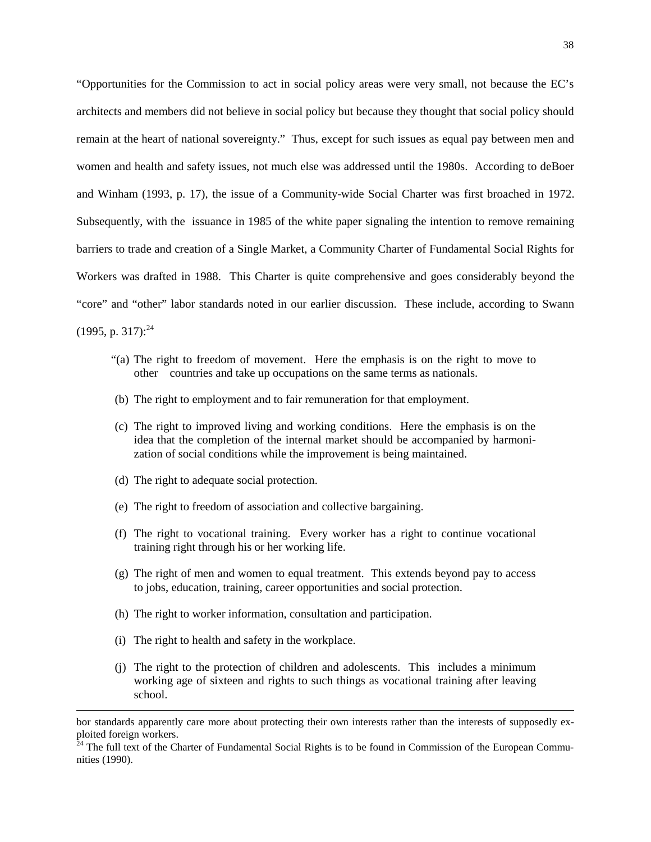"Opportunities for the Commission to act in social policy areas were very small, not because the EC's architects and members did not believe in social policy but because they thought that social policy should remain at the heart of national sovereignty." Thus, except for such issues as equal pay between men and women and health and safety issues, not much else was addressed until the 1980s. According to deBoer and Winham (1993, p. 17), the issue of a Community-wide Social Charter was first broached in 1972. Subsequently, with the issuance in 1985 of the white paper signaling the intention to remove remaining barriers to trade and creation of a Single Market, a Community Charter of Fundamental Social Rights for Workers was drafted in 1988. This Charter is quite comprehensive and goes considerably beyond the "core" and "other" labor standards noted in our earlier discussion. These include, according to Swann  $(1995, p. 317)$ :<sup>24</sup>

- "(a) The right to freedom of movement. Here the emphasis is on the right to move to other countries and take up occupations on the same terms as nationals.
- (b) The right to employment and to fair remuneration for that employment.
- (c) The right to improved living and working conditions. Here the emphasis is on the idea that the completion of the internal market should be accompanied by harmonization of social conditions while the improvement is being maintained.
- (d) The right to adequate social protection.
- (e) The right to freedom of association and collective bargaining.
- (f) The right to vocational training. Every worker has a right to continue vocational training right through his or her working life.
- (g) The right of men and women to equal treatment. This extends beyond pay to access to jobs, education, training, career opportunities and social protection.
- (h) The right to worker information, consultation and participation.
- (i) The right to health and safety in the workplace.

 $\overline{a}$ 

(j) The right to the protection of children and adolescents. This includes a minimum working age of sixteen and rights to such things as vocational training after leaving school.

bor standards apparently care more about protecting their own interests rather than the interests of supposedly exploited foreign workers.

 $^{24}$  The full text of the Charter of Fundamental Social Rights is to be found in Commission of the European Communities (1990).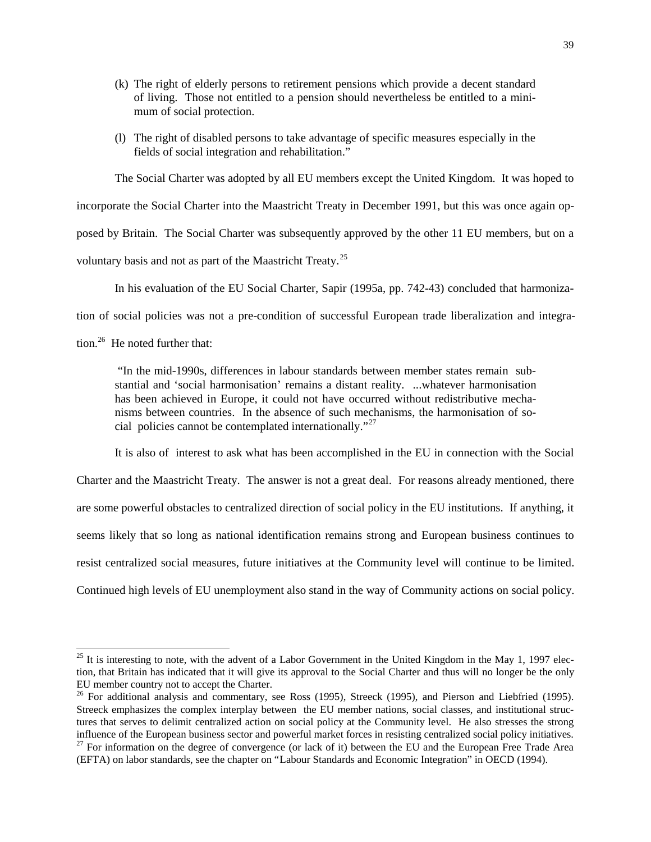- (k) The right of elderly persons to retirement pensions which provide a decent standard of living. Those not entitled to a pension should nevertheless be entitled to a minimum of social protection.
- (l) The right of disabled persons to take advantage of specific measures especially in the fields of social integration and rehabilitation."

The Social Charter was adopted by all EU members except the United Kingdom. It was hoped to

incorporate the Social Charter into the Maastricht Treaty in December 1991, but this was once again op-

posed by Britain. The Social Charter was subsequently approved by the other 11 EU members, but on a voluntary basis and not as part of the Maastricht Treaty.<sup>25</sup>

In his evaluation of the EU Social Charter, Sapir (1995a, pp. 742-43) concluded that harmoniza-

tion of social policies was not a pre-condition of successful European trade liberalization and integra-

tion.<sup>26</sup> He noted further that:

 $\overline{a}$ 

 "In the mid-1990s, differences in labour standards between member states remain substantial and 'social harmonisation' remains a distant reality. ...whatever harmonisation has been achieved in Europe, it could not have occurred without redistributive mechanisms between countries. In the absence of such mechanisms, the harmonisation of social policies cannot be contemplated internationally."<sup>27</sup>

It is also of interest to ask what has been accomplished in the EU in connection with the Social

Charter and the Maastricht Treaty. The answer is not a great deal. For reasons already mentioned, there are some powerful obstacles to centralized direction of social policy in the EU institutions. If anything, it seems likely that so long as national identification remains strong and European business continues to resist centralized social measures, future initiatives at the Community level will continue to be limited. Continued high levels of EU unemployment also stand in the way of Community actions on social policy.

 $25$  It is interesting to note, with the advent of a Labor Government in the United Kingdom in the May 1, 1997 election, that Britain has indicated that it will give its approval to the Social Charter and thus will no longer be the only EU member country not to accept the Charter.

<sup>&</sup>lt;sup>26</sup> For additional analysis and commentary, see Ross (1995), Streeck (1995), and Pierson and Liebfried (1995). Streeck emphasizes the complex interplay between the EU member nations, social classes, and institutional structures that serves to delimit centralized action on social policy at the Community level. He also stresses the strong influence of the European business sector and powerful market forces in resisting centralized social policy initiatives.

<sup>&</sup>lt;sup>27</sup> For information on the degree of convergence (or lack of it) between the EU and the European Free Trade Area (EFTA) on labor standards, see the chapter on "Labour Standards and Economic Integration" in OECD (1994).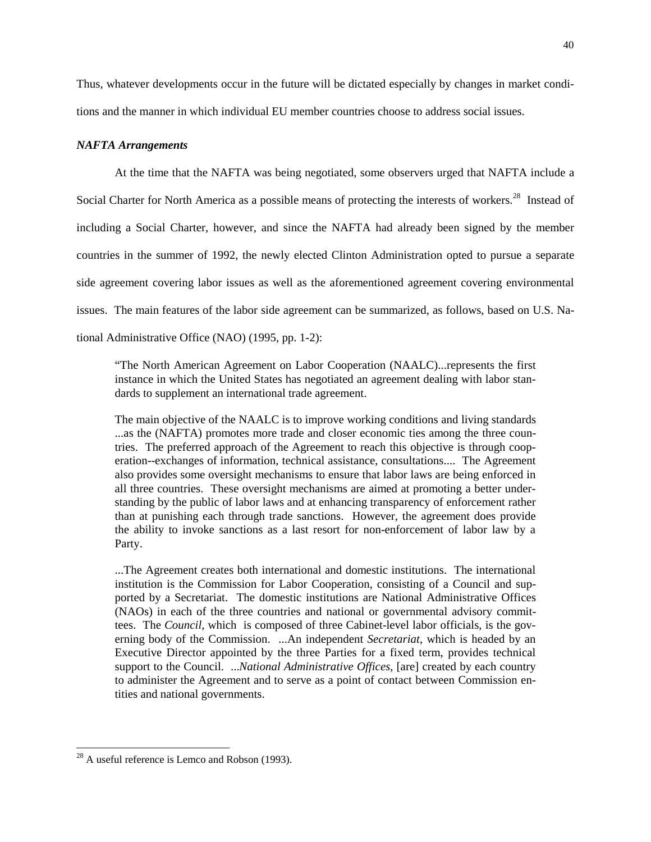Thus, whatever developments occur in the future will be dictated especially by changes in market conditions and the manner in which individual EU member countries choose to address social issues.

# *NAFTA Arrangements*

At the time that the NAFTA was being negotiated, some observers urged that NAFTA include a Social Charter for North America as a possible means of protecting the interests of workers.<sup>28</sup> Instead of including a Social Charter, however, and since the NAFTA had already been signed by the member countries in the summer of 1992, the newly elected Clinton Administration opted to pursue a separate side agreement covering labor issues as well as the aforementioned agreement covering environmental issues. The main features of the labor side agreement can be summarized, as follows, based on U.S. National Administrative Office (NAO) (1995, pp. 1-2):

"The North American Agreement on Labor Cooperation (NAALC)...represents the first instance in which the United States has negotiated an agreement dealing with labor standards to supplement an international trade agreement.

The main objective of the NAALC is to improve working conditions and living standards ...as the (NAFTA) promotes more trade and closer economic ties among the three countries. The preferred approach of the Agreement to reach this objective is through cooperation--exchanges of information, technical assistance, consultations.... The Agreement also provides some oversight mechanisms to ensure that labor laws are being enforced in all three countries. These oversight mechanisms are aimed at promoting a better understanding by the public of labor laws and at enhancing transparency of enforcement rather than at punishing each through trade sanctions. However, the agreement does provide the ability to invoke sanctions as a last resort for non-enforcement of labor law by a Party.

...The Agreement creates both international and domestic institutions. The international institution is the Commission for Labor Cooperation, consisting of a Council and supported by a Secretariat. The domestic institutions are National Administrative Offices (NAOs) in each of the three countries and national or governmental advisory committees. The *Council*, which is composed of three Cabinet-level labor officials, is the governing body of the Commission. ...An independent *Secretariat*, which is headed by an Executive Director appointed by the three Parties for a fixed term, provides technical support to the Council. ...*National Administrative Offices*, [are] created by each country to administer the Agreement and to serve as a point of contact between Commission entities and national governments.

 $28$  A useful reference is Lemco and Robson (1993).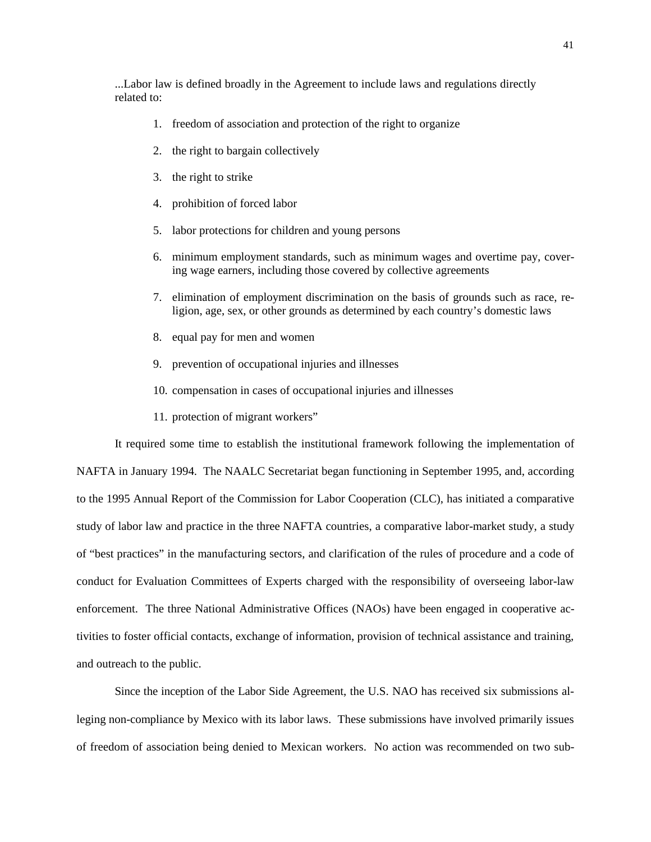...Labor law is defined broadly in the Agreement to include laws and regulations directly related to:

- 1. freedom of association and protection of the right to organize
- 2. the right to bargain collectively
- 3. the right to strike
- 4. prohibition of forced labor
- 5. labor protections for children and young persons
- 6. minimum employment standards, such as minimum wages and overtime pay, covering wage earners, including those covered by collective agreements
- 7. elimination of employment discrimination on the basis of grounds such as race, religion, age, sex, or other grounds as determined by each country's domestic laws
- 8. equal pay for men and women
- 9. prevention of occupational injuries and illnesses
- 10. compensation in cases of occupational injuries and illnesses
- 11. protection of migrant workers"

It required some time to establish the institutional framework following the implementation of NAFTA in January 1994. The NAALC Secretariat began functioning in September 1995, and, according to the 1995 Annual Report of the Commission for Labor Cooperation (CLC), has initiated a comparative study of labor law and practice in the three NAFTA countries, a comparative labor-market study, a study of "best practices" in the manufacturing sectors, and clarification of the rules of procedure and a code of conduct for Evaluation Committees of Experts charged with the responsibility of overseeing labor-law enforcement. The three National Administrative Offices (NAOs) have been engaged in cooperative activities to foster official contacts, exchange of information, provision of technical assistance and training, and outreach to the public.

Since the inception of the Labor Side Agreement, the U.S. NAO has received six submissions alleging non-compliance by Mexico with its labor laws. These submissions have involved primarily issues of freedom of association being denied to Mexican workers. No action was recommended on two sub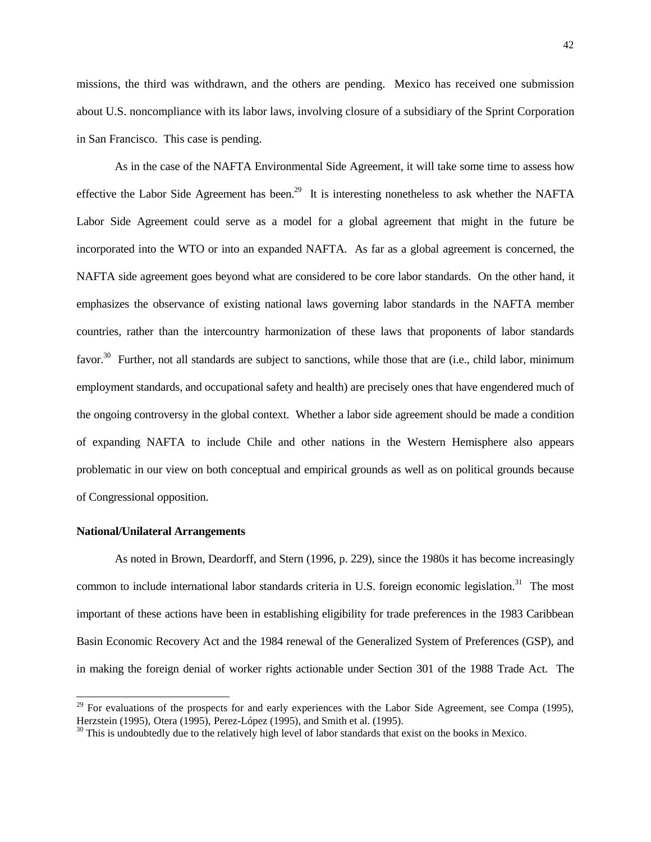missions, the third was withdrawn, and the others are pending. Mexico has received one submission about U.S. noncompliance with its labor laws, involving closure of a subsidiary of the Sprint Corporation in San Francisco. This case is pending.

As in the case of the NAFTA Environmental Side Agreement, it will take some time to assess how effective the Labor Side Agreement has been.<sup>29</sup> It is interesting nonetheless to ask whether the NAFTA Labor Side Agreement could serve as a model for a global agreement that might in the future be incorporated into the WTO or into an expanded NAFTA. As far as a global agreement is concerned, the NAFTA side agreement goes beyond what are considered to be core labor standards. On the other hand, it emphasizes the observance of existing national laws governing labor standards in the NAFTA member countries, rather than the intercountry harmonization of these laws that proponents of labor standards favor.<sup>30</sup> Further, not all standards are subject to sanctions, while those that are (i.e., child labor, minimum employment standards, and occupational safety and health) are precisely ones that have engendered much of the ongoing controversy in the global context. Whether a labor side agreement should be made a condition of expanding NAFTA to include Chile and other nations in the Western Hemisphere also appears problematic in our view on both conceptual and empirical grounds as well as on political grounds because of Congressional opposition.

#### **National/Unilateral Arrangements**

 $\overline{a}$ 

As noted in Brown, Deardorff, and Stern (1996, p. 229), since the 1980s it has become increasingly common to include international labor standards criteria in U.S. foreign economic legislation.<sup>31</sup> The most important of these actions have been in establishing eligibility for trade preferences in the 1983 Caribbean Basin Economic Recovery Act and the 1984 renewal of the Generalized System of Preferences (GSP), and in making the foreign denial of worker rights actionable under Section 301 of the 1988 Trade Act. The

<sup>&</sup>lt;sup>29</sup> For evaluations of the prospects for and early experiences with the Labor Side Agreement, see Compa (1995), Herzstein (1995), Otera (1995), Perez-López (1995), and Smith et al. (1995).

 $^{30}$  This is undoubtedly due to the relatively high level of labor standards that exist on the books in Mexico.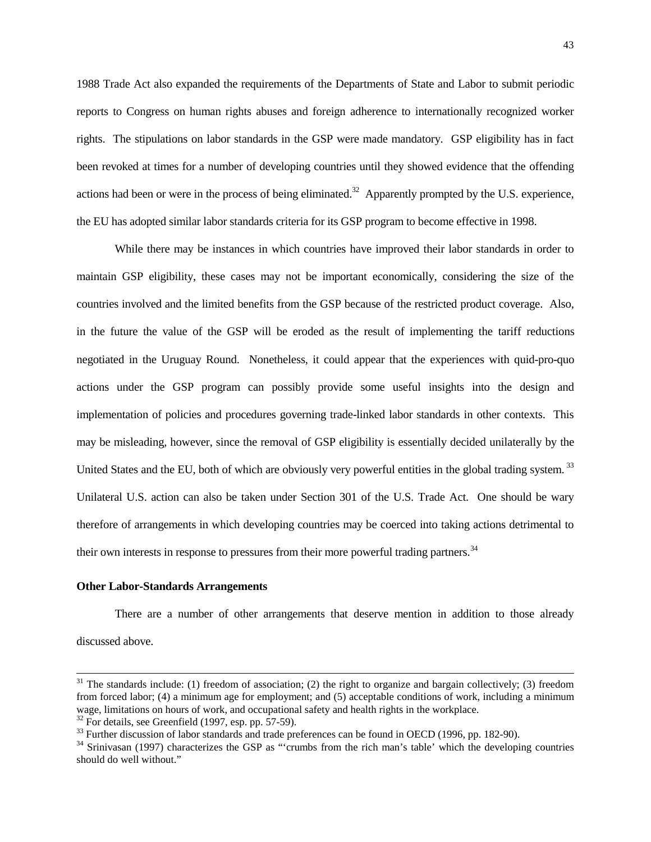1988 Trade Act also expanded the requirements of the Departments of State and Labor to submit periodic reports to Congress on human rights abuses and foreign adherence to internationally recognized worker rights. The stipulations on labor standards in the GSP were made mandatory. GSP eligibility has in fact been revoked at times for a number of developing countries until they showed evidence that the offending actions had been or were in the process of being eliminated.<sup>32</sup> Apparently prompted by the U.S. experience, the EU has adopted similar labor standards criteria for its GSP program to become effective in 1998.

While there may be instances in which countries have improved their labor standards in order to maintain GSP eligibility, these cases may not be important economically, considering the size of the countries involved and the limited benefits from the GSP because of the restricted product coverage. Also, in the future the value of the GSP will be eroded as the result of implementing the tariff reductions negotiated in the Uruguay Round. Nonetheless, it could appear that the experiences with quid-pro-quo actions under the GSP program can possibly provide some useful insights into the design and implementation of policies and procedures governing trade-linked labor standards in other contexts. This may be misleading, however, since the removal of GSP eligibility is essentially decided unilaterally by the United States and the EU, both of which are obviously very powerful entities in the global trading system.<sup>33</sup> Unilateral U.S. action can also be taken under Section 301 of the U.S. Trade Act. One should be wary therefore of arrangements in which developing countries may be coerced into taking actions detrimental to their own interests in response to pressures from their more powerful trading partners.<sup>34</sup>

#### **Other Labor-Standards Arrangements**

 $\overline{a}$ 

There are a number of other arrangements that deserve mention in addition to those already discussed above.

 $31$  The standards include: (1) freedom of association; (2) the right to organize and bargain collectively; (3) freedom from forced labor; (4) a minimum age for employment; and (5) acceptable conditions of work, including a minimum wage, limitations on hours of work, and occupational safety and health rights in the workplace.

 $32$  For details, see Greenfield (1997, esp. pp. 57-59).

<sup>&</sup>lt;sup>33</sup> Further discussion of labor standards and trade preferences can be found in OECD (1996, pp. 182-90).

<sup>&</sup>lt;sup>34</sup> Srinivasan (1997) characterizes the GSP as "'crumbs from the rich man's table' which the developing countries should do well without."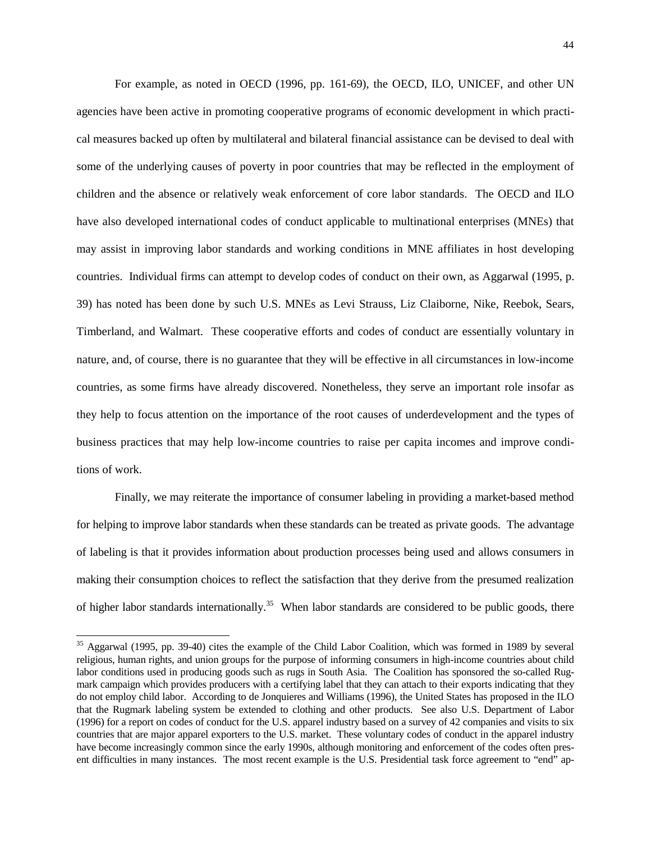For example, as noted in OECD (1996, pp. 161-69), the OECD, ILO, UNICEF, and other UN agencies have been active in promoting cooperative programs of economic development in which practical measures backed up often by multilateral and bilateral financial assistance can be devised to deal with some of the underlying causes of poverty in poor countries that may be reflected in the employment of children and the absence or relatively weak enforcement of core labor standards. The OECD and ILO have also developed international codes of conduct applicable to multinational enterprises (MNEs) that may assist in improving labor standards and working conditions in MNE affiliates in host developing countries. Individual firms can attempt to develop codes of conduct on their own, as Aggarwal (1995, p. 39) has noted has been done by such U.S. MNEs as Levi Strauss, Liz Claiborne, Nike, Reebok, Sears, Timberland, and Walmart. These cooperative efforts and codes of conduct are essentially voluntary in nature, and, of course, there is no guarantee that they will be effective in all circumstances in low-income countries, as some firms have already discovered. Nonetheless, they serve an important role insofar as they help to focus attention on the importance of the root causes of underdevelopment and the types of business practices that may help low-income countries to raise per capita incomes and improve conditions of work.

Finally, we may reiterate the importance of consumer labeling in providing a market-based method for helping to improve labor standards when these standards can be treated as private goods. The advantage of labeling is that it provides information about production processes being used and allows consumers in making their consumption choices to reflect the satisfaction that they derive from the presumed realization of higher labor standards internationally.<sup>35</sup> When labor standards are considered to be public goods, there

<sup>&</sup>lt;sup>35</sup> Aggarwal (1995, pp. 39-40) cites the example of the Child Labor Coalition, which was formed in 1989 by several religious, human rights, and union groups for the purpose of informing consumers in high-income countries about child labor conditions used in producing goods such as rugs in South Asia. The Coalition has sponsored the so-called Rugmark campaign which provides producers with a certifying label that they can attach to their exports indicating that they do not employ child labor. According to de Jonquieres and Williams (1996), the United States has proposed in the ILO that the Rugmark labeling system be extended to clothing and other products. See also U.S. Department of Labor (1996) for a report on codes of conduct for the U.S. apparel industry based on a survey of 42 companies and visits to six countries that are major apparel exporters to the U.S. market. These voluntary codes of conduct in the apparel industry have become increasingly common since the early 1990s, although monitoring and enforcement of the codes often present difficulties in many instances. The most recent example is the U.S. Presidential task force agreement to "end" ap-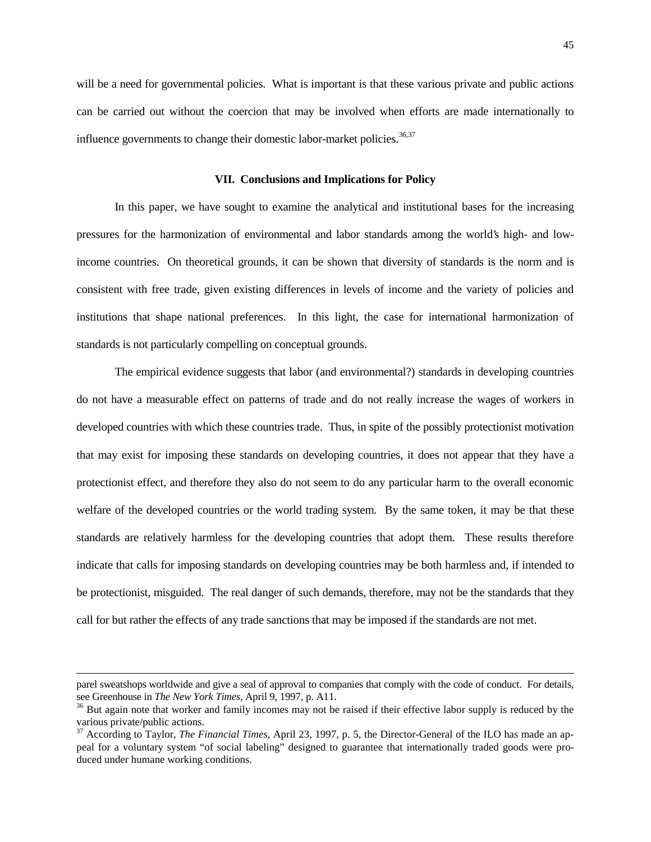will be a need for governmental policies. What is important is that these various private and public actions can be carried out without the coercion that may be involved when efforts are made internationally to influence governments to change their domestic labor-market policies.  $36,37$ 

#### **VII. Conclusions and Implications for Policy**

In this paper, we have sought to examine the analytical and institutional bases for the increasing pressures for the harmonization of environmental and labor standards among the world's high- and lowincome countries. On theoretical grounds, it can be shown that diversity of standards is the norm and is consistent with free trade, given existing differences in levels of income and the variety of policies and institutions that shape national preferences. In this light, the case for international harmonization of standards is not particularly compelling on conceptual grounds.

The empirical evidence suggests that labor (and environmental?) standards in developing countries do not have a measurable effect on patterns of trade and do not really increase the wages of workers in developed countries with which these countries trade. Thus, in spite of the possibly protectionist motivation that may exist for imposing these standards on developing countries, it does not appear that they have a protectionist effect, and therefore they also do not seem to do any particular harm to the overall economic welfare of the developed countries or the world trading system. By the same token, it may be that these standards are relatively harmless for the developing countries that adopt them. These results therefore indicate that calls for imposing standards on developing countries may be both harmless and, if intended to be protectionist, misguided. The real danger of such demands, therefore, may not be the standards that they call for but rather the effects of any trade sanctions that may be imposed if the standards are not met.

parel sweatshops worldwide and give a seal of approval to companies that comply with the code of conduct. For details, see Greenhouse in *The New York Times*, April 9, 1997, p. A11.<br><sup>36</sup> But again note that worker and family incomes may not be raised if their effective labor supply is reduced by the

various private/public actions.

<sup>37</sup> According to Taylor, *The Financial Times*, April 23, 1997, p. 5, the Director-General of the ILO has made an appeal for a voluntary system "of social labeling" designed to guarantee that internationally traded goods were produced under humane working conditions.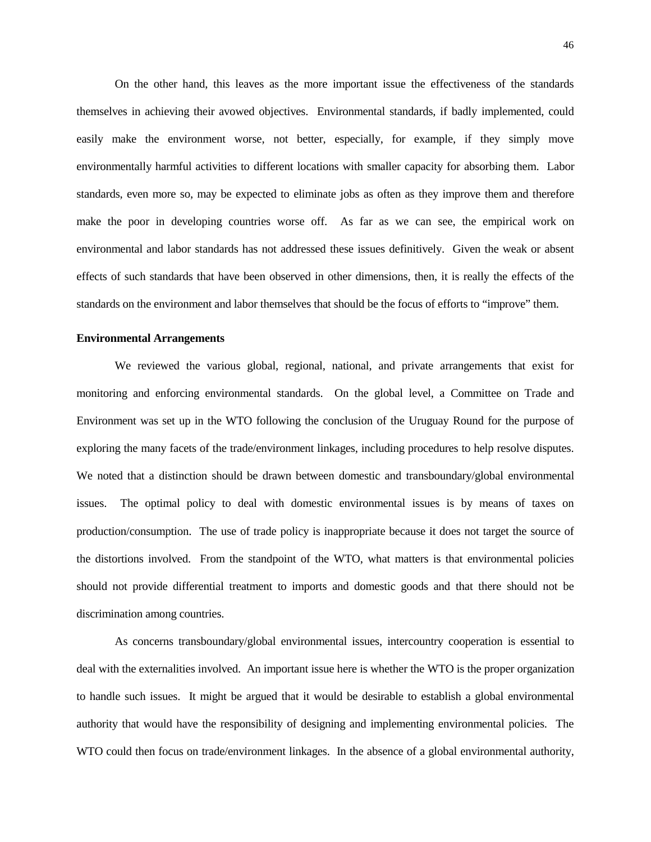On the other hand, this leaves as the more important issue the effectiveness of the standards themselves in achieving their avowed objectives. Environmental standards, if badly implemented, could easily make the environment worse, not better, especially, for example, if they simply move environmentally harmful activities to different locations with smaller capacity for absorbing them. Labor standards, even more so, may be expected to eliminate jobs as often as they improve them and therefore make the poor in developing countries worse off. As far as we can see, the empirical work on environmental and labor standards has not addressed these issues definitively. Given the weak or absent effects of such standards that have been observed in other dimensions, then, it is really the effects of the standards on the environment and labor themselves that should be the focus of efforts to "improve" them.

## **Environmental Arrangements**

We reviewed the various global, regional, national, and private arrangements that exist for monitoring and enforcing environmental standards. On the global level, a Committee on Trade and Environment was set up in the WTO following the conclusion of the Uruguay Round for the purpose of exploring the many facets of the trade/environment linkages, including procedures to help resolve disputes. We noted that a distinction should be drawn between domestic and transboundary/global environmental issues. The optimal policy to deal with domestic environmental issues is by means of taxes on production/consumption. The use of trade policy is inappropriate because it does not target the source of the distortions involved. From the standpoint of the WTO, what matters is that environmental policies should not provide differential treatment to imports and domestic goods and that there should not be discrimination among countries.

As concerns transboundary/global environmental issues, intercountry cooperation is essential to deal with the externalities involved. An important issue here is whether the WTO is the proper organization to handle such issues. It might be argued that it would be desirable to establish a global environmental authority that would have the responsibility of designing and implementing environmental policies. The WTO could then focus on trade/environment linkages. In the absence of a global environmental authority,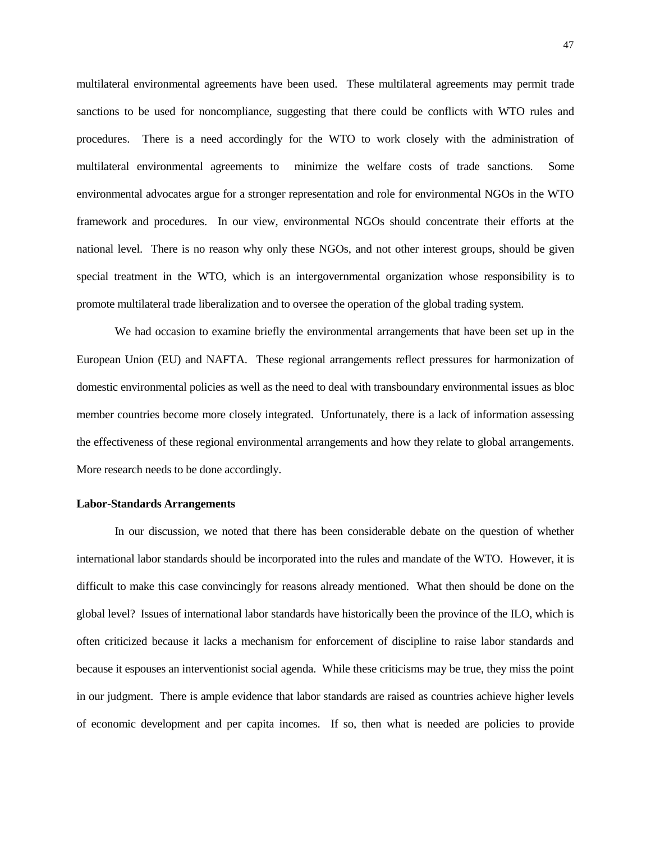multilateral environmental agreements have been used. These multilateral agreements may permit trade sanctions to be used for noncompliance, suggesting that there could be conflicts with WTO rules and procedures. There is a need accordingly for the WTO to work closely with the administration of multilateral environmental agreements to minimize the welfare costs of trade sanctions. Some environmental advocates argue for a stronger representation and role for environmental NGOs in the WTO framework and procedures. In our view, environmental NGOs should concentrate their efforts at the national level. There is no reason why only these NGOs, and not other interest groups, should be given special treatment in the WTO, which is an intergovernmental organization whose responsibility is to promote multilateral trade liberalization and to oversee the operation of the global trading system.

We had occasion to examine briefly the environmental arrangements that have been set up in the European Union (EU) and NAFTA. These regional arrangements reflect pressures for harmonization of domestic environmental policies as well as the need to deal with transboundary environmental issues as bloc member countries become more closely integrated. Unfortunately, there is a lack of information assessing the effectiveness of these regional environmental arrangements and how they relate to global arrangements. More research needs to be done accordingly.

#### **Labor-Standards Arrangements**

In our discussion, we noted that there has been considerable debate on the question of whether international labor standards should be incorporated into the rules and mandate of the WTO. However, it is difficult to make this case convincingly for reasons already mentioned. What then should be done on the global level? Issues of international labor standards have historically been the province of the ILO, which is often criticized because it lacks a mechanism for enforcement of discipline to raise labor standards and because it espouses an interventionist social agenda. While these criticisms may be true, they miss the point in our judgment. There is ample evidence that labor standards are raised as countries achieve higher levels of economic development and per capita incomes. If so, then what is needed are policies to provide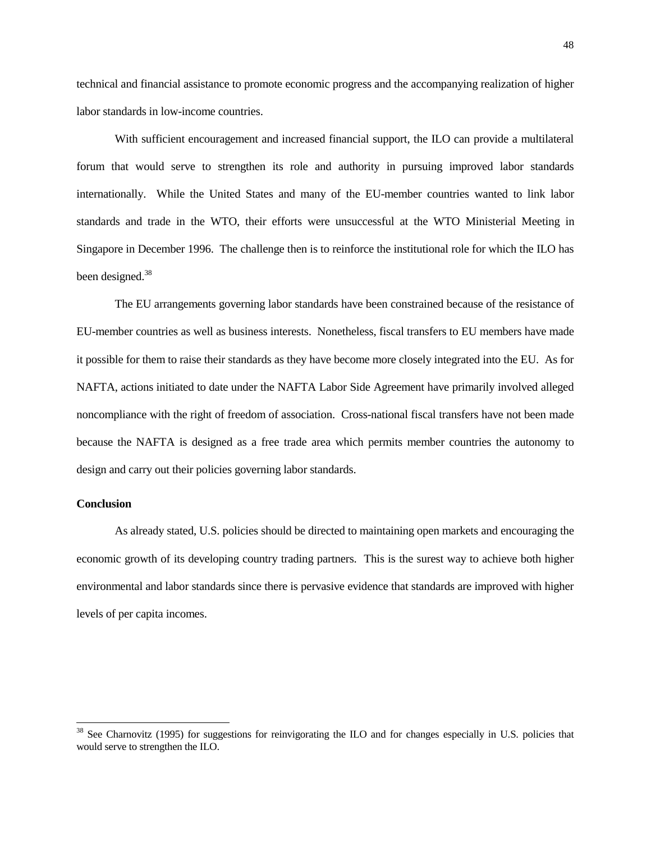technical and financial assistance to promote economic progress and the accompanying realization of higher labor standards in low-income countries.

With sufficient encouragement and increased financial support, the ILO can provide a multilateral forum that would serve to strengthen its role and authority in pursuing improved labor standards internationally. While the United States and many of the EU-member countries wanted to link labor standards and trade in the WTO, their efforts were unsuccessful at the WTO Ministerial Meeting in Singapore in December 1996. The challenge then is to reinforce the institutional role for which the ILO has been designed.<sup>38</sup>

The EU arrangements governing labor standards have been constrained because of the resistance of EU-member countries as well as business interests. Nonetheless, fiscal transfers to EU members have made it possible for them to raise their standards as they have become more closely integrated into the EU. As for NAFTA, actions initiated to date under the NAFTA Labor Side Agreement have primarily involved alleged noncompliance with the right of freedom of association. Cross-national fiscal transfers have not been made because the NAFTA is designed as a free trade area which permits member countries the autonomy to design and carry out their policies governing labor standards.

# **Conclusion**

 $\overline{a}$ 

As already stated, U.S. policies should be directed to maintaining open markets and encouraging the economic growth of its developing country trading partners. This is the surest way to achieve both higher environmental and labor standards since there is pervasive evidence that standards are improved with higher levels of per capita incomes.

 $38$  See Charnovitz (1995) for suggestions for reinvigorating the ILO and for changes especially in U.S. policies that would serve to strengthen the ILO.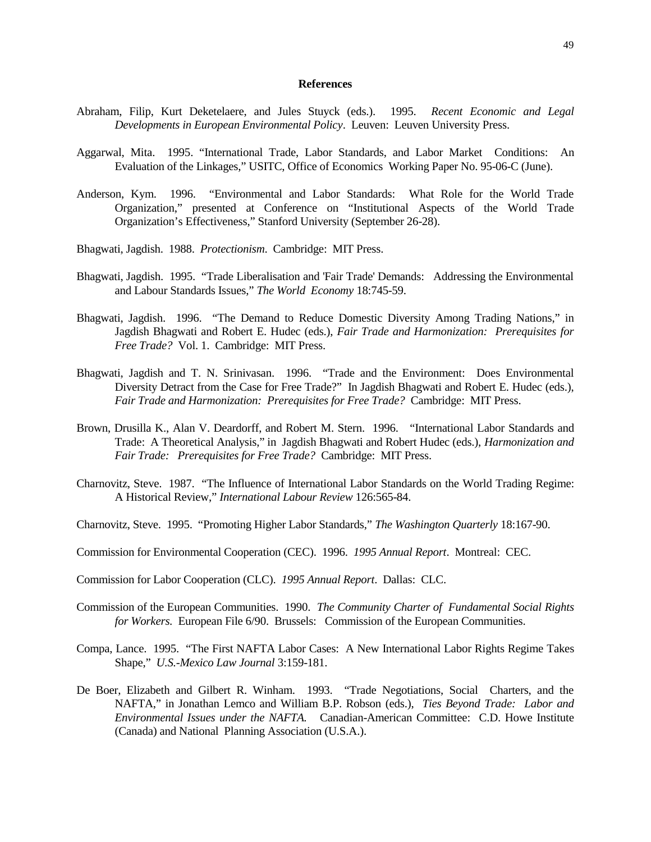#### **References**

- Abraham, Filip, Kurt Deketelaere, and Jules Stuyck (eds.). 1995. *Recent Economic and Legal Developments in European Environmental Policy*. Leuven: Leuven University Press.
- Aggarwal, Mita. 1995. "International Trade, Labor Standards, and Labor Market Conditions: An Evaluation of the Linkages," USITC, Office of Economics Working Paper No. 95-06-C (June).
- Anderson, Kym. 1996. "Environmental and Labor Standards: What Role for the World Trade Organization," presented at Conference on "Institutional Aspects of the World Trade Organization's Effectiveness," Stanford University (September 26-28).
- Bhagwati, Jagdish. 1988. *Protectionism*. Cambridge: MIT Press.
- Bhagwati, Jagdish. 1995. "Trade Liberalisation and 'Fair Trade' Demands: Addressing the Environmental and Labour Standards Issues," *The World Economy* 18:745-59.
- Bhagwati, Jagdish. 1996. "The Demand to Reduce Domestic Diversity Among Trading Nations," in Jagdish Bhagwati and Robert E. Hudec (eds.), *Fair Trade and Harmonization: Prerequisites for Free Trade?* Vol. 1. Cambridge: MIT Press.
- Bhagwati, Jagdish and T. N. Srinivasan. 1996. "Trade and the Environment: Does Environmental Diversity Detract from the Case for Free Trade?" In Jagdish Bhagwati and Robert E. Hudec (eds.), *Fair Trade and Harmonization: Prerequisites for Free Trade?* Cambridge: MIT Press.
- Brown, Drusilla K., Alan V. Deardorff, and Robert M. Stern. 1996. "International Labor Standards and Trade: A Theoretical Analysis," in Jagdish Bhagwati and Robert Hudec (eds.), *Harmonization and Fair Trade: Prerequisites for Free Trade?* Cambridge: MIT Press.
- Charnovitz, Steve. 1987. "The Influence of International Labor Standards on the World Trading Regime: A Historical Review," *International Labour Review* 126:565-84.
- Charnovitz, Steve. 1995. "Promoting Higher Labor Standards," *The Washington Quarterly* 18:167-90.
- Commission for Environmental Cooperation (CEC). 1996. *1995 Annual Report*. Montreal: CEC.
- Commission for Labor Cooperation (CLC). *1995 Annual Report*. Dallas: CLC.
- Commission of the European Communities. 1990. *The Community Charter of Fundamental Social Rights for Workers.* European File 6/90. Brussels: Commission of the European Communities.
- Compa, Lance. 1995. "The First NAFTA Labor Cases: A New International Labor Rights Regime Takes Shape," *U.S.-Mexico Law Journal* 3:159-181.
- De Boer, Elizabeth and Gilbert R. Winham. 1993. "Trade Negotiations, Social Charters, and the NAFTA," in Jonathan Lemco and William B.P. Robson (eds.), *Ties Beyond Trade: Labor and Environmental Issues under the NAFTA.* Canadian-American Committee: C.D. Howe Institute (Canada) and National Planning Association (U.S.A.).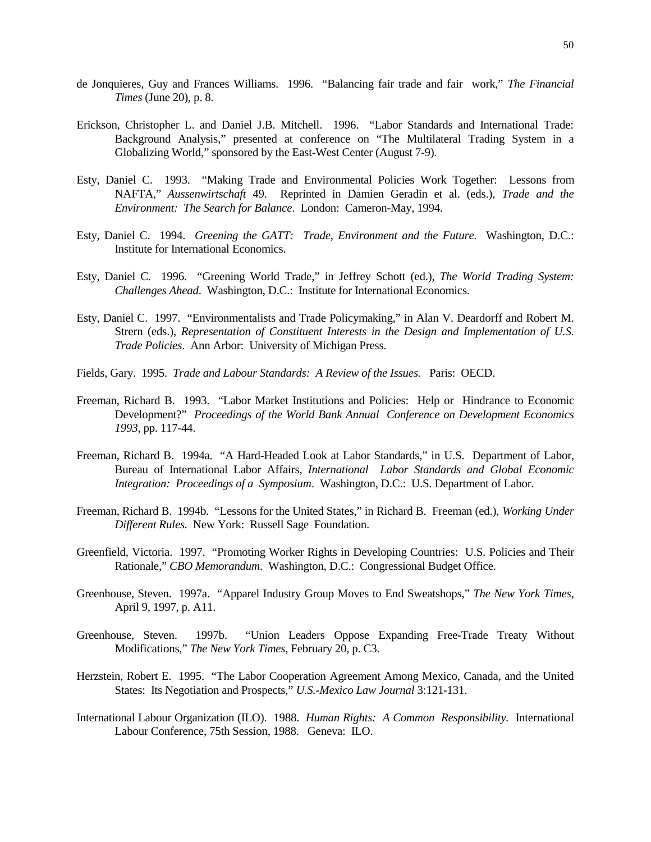- de Jonquieres, Guy and Frances Williams. 1996. "Balancing fair trade and fair work," *The Financial Times* (June 20), p. 8.
- Erickson, Christopher L. and Daniel J.B. Mitchell. 1996. "Labor Standards and International Trade: Background Analysis," presented at conference on "The Multilateral Trading System in a Globalizing World," sponsored by the East-West Center (August 7-9).
- Esty, Daniel C. 1993. "Making Trade and Environmental Policies Work Together: Lessons from NAFTA," *Aussenwirtschaft* 49. Reprinted in Damien Geradin et al. (eds.), *Trade and the Environment: The Search for Balance*. London: Cameron-May, 1994.
- Esty, Daniel C. 1994. *Greening the GATT: Trade, Environment and the Future*. Washington, D.C.: Institute for International Economics.
- Esty, Daniel C. 1996. "Greening World Trade," in Jeffrey Schott (ed.), *The World Trading System: Challenges Ahead*. Washington, D.C.: Institute for International Economics.
- Esty, Daniel C. 1997. "Environmentalists and Trade Policymaking," in Alan V. Deardorff and Robert M. Strern (eds.), *Representation of Constituent Interests in the Design and Implementation of U.S. Trade Policies*. Ann Arbor: University of Michigan Press.
- Fields, Gary. 1995. *Trade and Labour Standards: A Review of the Issues.* Paris: OECD.
- Freeman, Richard B. 1993. "Labor Market Institutions and Policies: Help or Hindrance to Economic Development?" *Proceedings of the World Bank Annual Conference on Development Economics 1993,* pp. 117-44.
- Freeman, Richard B. 1994a. "A Hard-Headed Look at Labor Standards," in U.S. Department of Labor, Bureau of International Labor Affairs, *International Labor Standards and Global Economic Integration: Proceedings of a Symposium*. Washington, D.C.: U.S. Department of Labor.
- Freeman, Richard B. 1994b. "Lessons for the United States," in Richard B. Freeman (ed.), *Working Under Different Rules.* New York: Russell Sage Foundation.
- Greenfield, Victoria. 1997. "Promoting Worker Rights in Developing Countries: U.S. Policies and Their Rationale," *CBO Memorandum*. Washington, D.C.: Congressional Budget Office.
- Greenhouse, Steven. 1997a. "Apparel Industry Group Moves to End Sweatshops," *The New York Times*, April 9, 1997, p. A11.
- Greenhouse, Steven. 1997b. "Union Leaders Oppose Expanding Free-Trade Treaty Without Modifications," *The New York Times*, February 20, p. C3.
- Herzstein, Robert E. 1995. "The Labor Cooperation Agreement Among Mexico, Canada, and the United States: Its Negotiation and Prospects," *U.S.-Mexico Law Journal* 3:121-131.
- International Labour Organization (ILO). 1988. *Human Rights: A Common Responsibility.* International Labour Conference, 75th Session, 1988. Geneva: ILO.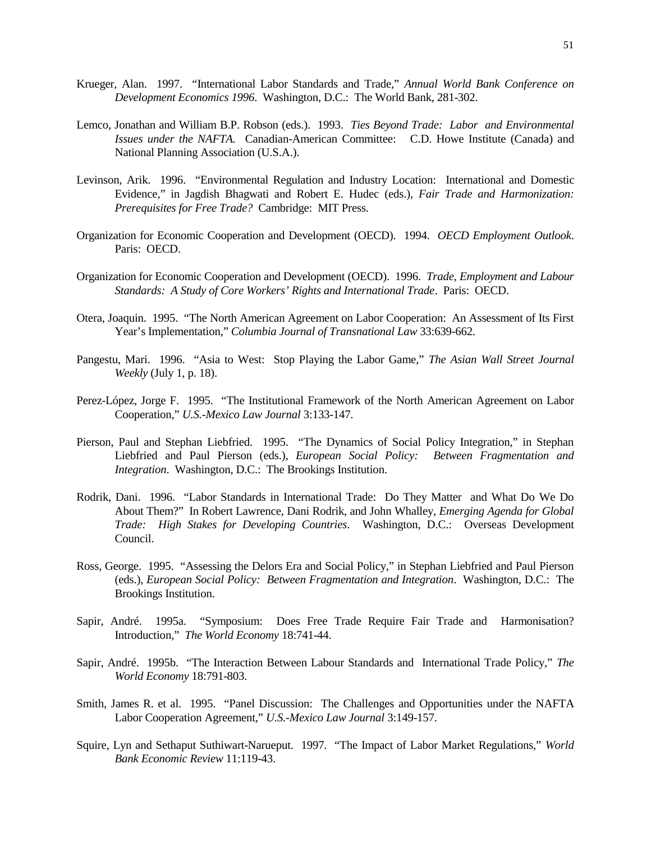- Krueger, Alan. 1997. "International Labor Standards and Trade," *Annual World Bank Conference on Development Economics 1996*. Washington, D.C.: The World Bank, 281-302.
- Lemco, Jonathan and William B.P. Robson (eds.). 1993. *Ties Beyond Trade: Labor and Environmental Issues under the NAFTA.* Canadian-American Committee: C.D. Howe Institute (Canada) and National Planning Association (U.S.A.).
- Levinson, Arik. 1996. "Environmental Regulation and Industry Location: International and Domestic Evidence," in Jagdish Bhagwati and Robert E. Hudec (eds.), *Fair Trade and Harmonization: Prerequisites for Free Trade?* Cambridge: MIT Press.
- Organization for Economic Cooperation and Development (OECD). 1994. *OECD Employment Outlook*. Paris: OECD.
- Organization for Economic Cooperation and Development (OECD). 1996. *Trade, Employment and Labour Standards: A Study of Core Workers' Rights and International Trade*. Paris: OECD.
- Otera, Joaquin. 1995. "The North American Agreement on Labor Cooperation: An Assessment of Its First Year's Implementation," *Columbia Journal of Transnational Law* 33:639-662.
- Pangestu, Mari. 1996. "Asia to West: Stop Playing the Labor Game," *The Asian Wall Street Journal Weekly* (July 1, p. 18).
- Perez-López, Jorge F. 1995. "The Institutional Framework of the North American Agreement on Labor Cooperation," *U.S.-Mexico Law Journal* 3:133-147.
- Pierson, Paul and Stephan Liebfried. 1995. "The Dynamics of Social Policy Integration," in Stephan Liebfried and Paul Pierson (eds.), *European Social Policy: Between Fragmentation and Integration*. Washington, D.C.: The Brookings Institution.
- Rodrik, Dani. 1996. "Labor Standards in International Trade: Do They Matter and What Do We Do About Them?" In Robert Lawrence, Dani Rodrik, and John Whalley, *Emerging Agenda for Global Trade: High Stakes for Developing Countries*. Washington, D.C.: Overseas Development Council.
- Ross, George. 1995. "Assessing the Delors Era and Social Policy," in Stephan Liebfried and Paul Pierson (eds.), *European Social Policy: Between Fragmentation and Integration*. Washington, D.C.: The Brookings Institution.
- Sapir, André. 1995a. "Symposium: Does Free Trade Require Fair Trade and Harmonisation? Introduction," *The World Economy* 18:741-44.
- Sapir, André. 1995b. "The Interaction Between Labour Standards and International Trade Policy," *The World Economy* 18:791-803.
- Smith, James R. et al. 1995. "Panel Discussion: The Challenges and Opportunities under the NAFTA Labor Cooperation Agreement," *U.S.-Mexico Law Journal* 3:149-157.
- Squire, Lyn and Sethaput Suthiwart-Narueput. 1997. "The Impact of Labor Market Regulations," *World Bank Economic Review* 11:119-43.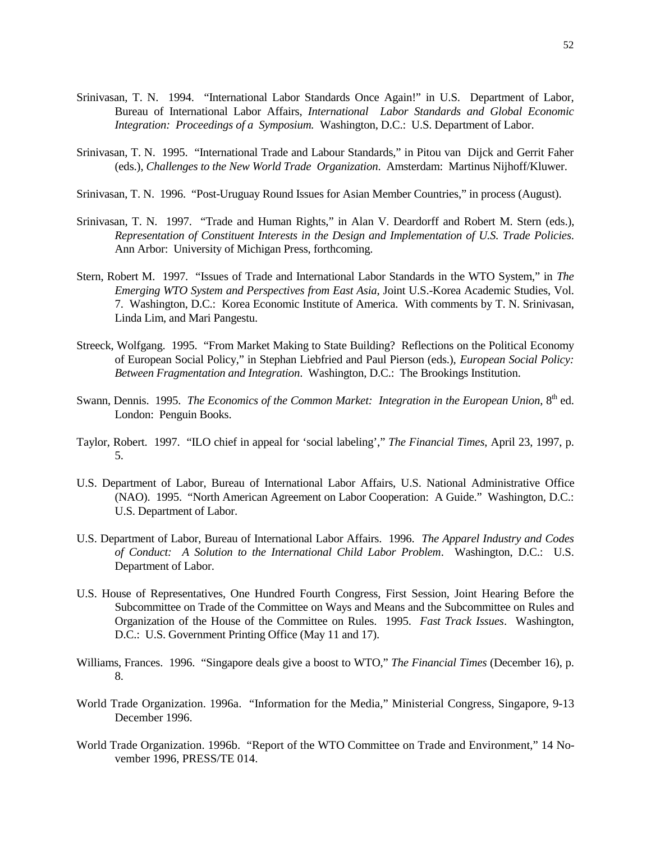- Srinivasan, T. N. 1994. "International Labor Standards Once Again!" in U.S. Department of Labor, Bureau of International Labor Affairs, *International Labor Standards and Global Economic Integration: Proceedings of a Symposium.* Washington, D.C.: U.S. Department of Labor.
- Srinivasan, T. N. 1995. "International Trade and Labour Standards," in Pitou van Dijck and Gerrit Faher (eds.), *Challenges to the New World Trade Organization*. Amsterdam: Martinus Nijhoff/Kluwer.
- Srinivasan, T. N. 1996. "Post-Uruguay Round Issues for Asian Member Countries," in process (August).
- Srinivasan, T. N. 1997. "Trade and Human Rights," in Alan V. Deardorff and Robert M. Stern (eds.), *Representation of Constituent Interests in the Design and Implementation of U.S. Trade Policies*. Ann Arbor: University of Michigan Press, forthcoming.
- Stern, Robert M. 1997. "Issues of Trade and International Labor Standards in the WTO System," in *The Emerging WTO System and Perspectives from East Asia*, Joint U.S.-Korea Academic Studies, Vol. 7. Washington, D.C.: Korea Economic Institute of America. With comments by T. N. Srinivasan, Linda Lim, and Mari Pangestu.
- Streeck, Wolfgang. 1995. "From Market Making to State Building? Reflections on the Political Economy of European Social Policy," in Stephan Liebfried and Paul Pierson (eds.), *European Social Policy: Between Fragmentation and Integration*. Washington, D.C.: The Brookings Institution.
- Swann, Dennis. 1995. *The Economics of the Common Market: Integration in the European Union*, 8<sup>th</sup> ed. London: Penguin Books.
- Taylor, Robert. 1997. "ILO chief in appeal for 'social labeling'," *The Financial Times*, April 23, 1997, p. 5.
- U.S. Department of Labor, Bureau of International Labor Affairs, U.S. National Administrative Office (NAO). 1995. "North American Agreement on Labor Cooperation: A Guide." Washington, D.C.: U.S. Department of Labor.
- U.S. Department of Labor, Bureau of International Labor Affairs. 1996. *The Apparel Industry and Codes of Conduct: A Solution to the International Child Labor Problem*. Washington, D.C.: U.S. Department of Labor.
- U.S. House of Representatives, One Hundred Fourth Congress, First Session, Joint Hearing Before the Subcommittee on Trade of the Committee on Ways and Means and the Subcommittee on Rules and Organization of the House of the Committee on Rules. 1995. *Fast Track Issues*. Washington, D.C.: U.S. Government Printing Office (May 11 and 17).
- Williams, Frances. 1996. "Singapore deals give a boost to WTO," *The Financial Times* (December 16), p. 8.
- World Trade Organization. 1996a. "Information for the Media," Ministerial Congress, Singapore, 9-13 December 1996.
- World Trade Organization. 1996b. "Report of the WTO Committee on Trade and Environment," 14 November 1996, PRESS/TE 014.